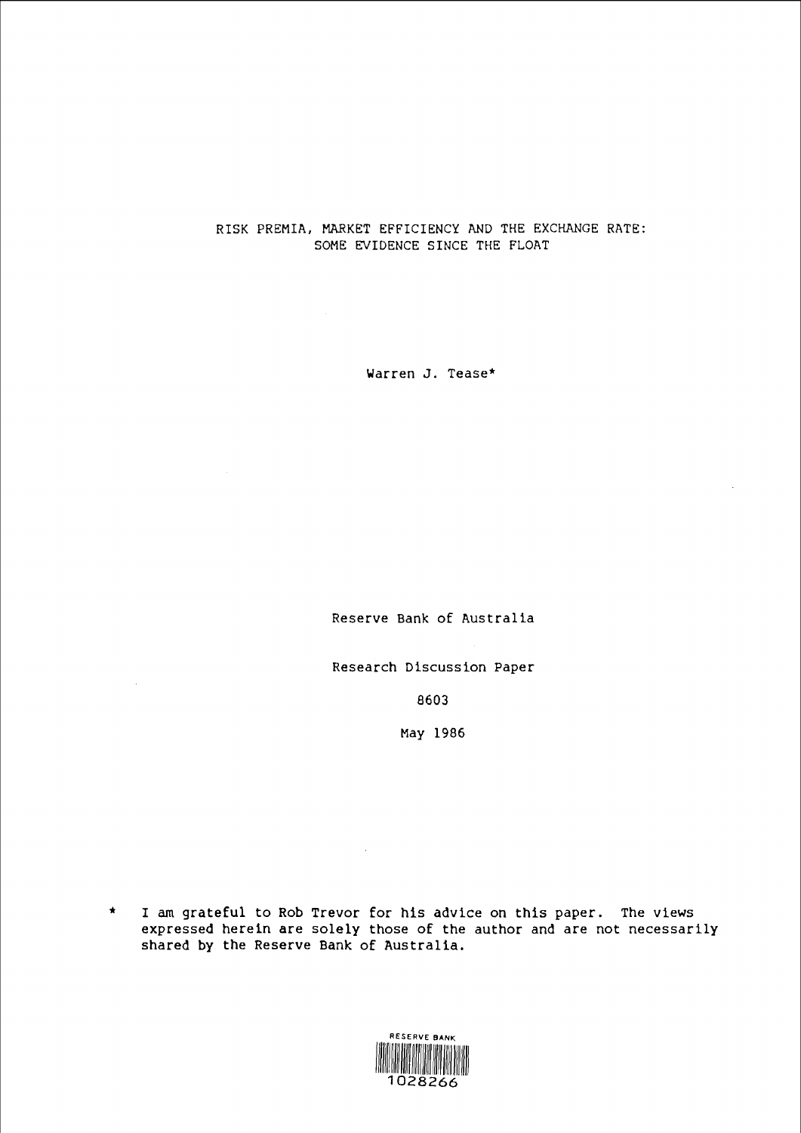## RISK PREMIA, MARKET ErriCIENCY AND THE EXCHANGE RATE: SOME EVIDENCE SINCE THE rLOAT

Warren J. Tease\*

Reserve Bank of Australia

Research Discussion Paper

 $\sim$ 

8603

May 1986

 $\sim 10^{-1}$ 



<sup>\*</sup> I am grateful to Rob Trevor for his advice on this paper. The views expressed herein are solely those of the author and are not necessarily shared by the Reserve Bank of Australia.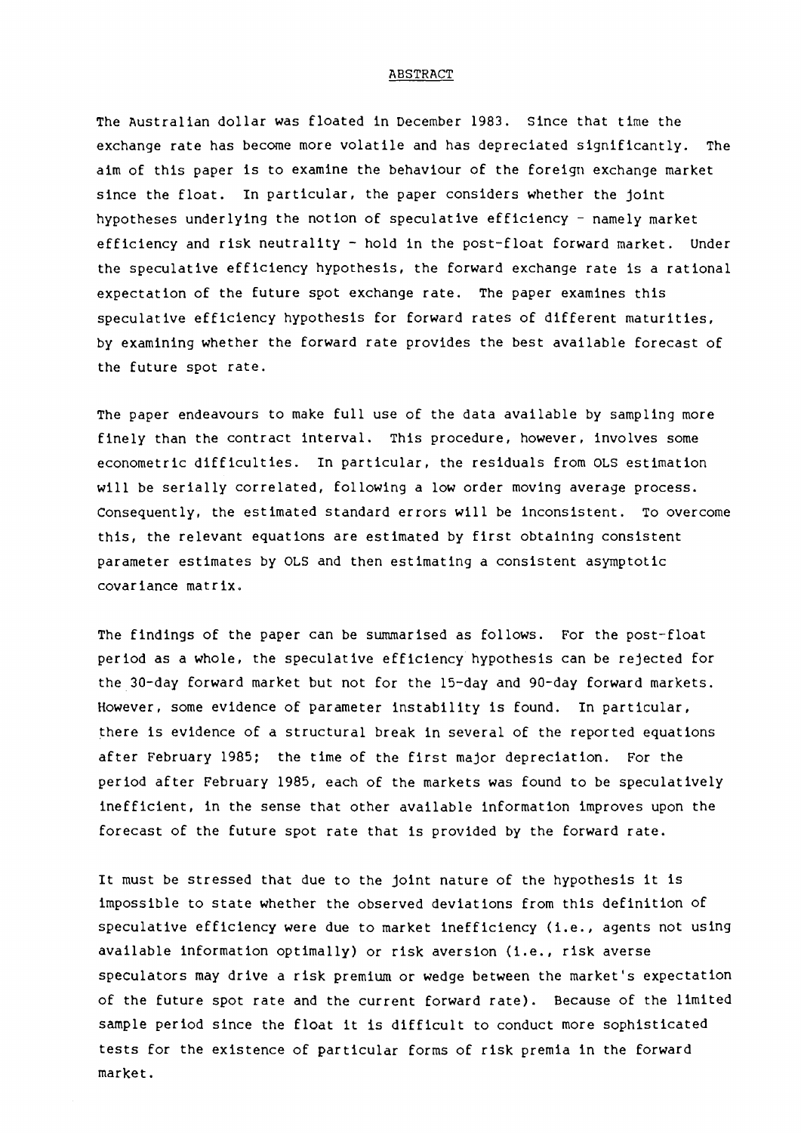#### ABSTRACT

The Australian dollar was floated in December 1983. Since that time the exchange rate has become more volatile and has depreciated significantly. The aim of this paper is to examine the behaviour of the foreign exchange market since the float. In particular, the paper considers whether the joint hypotheses underlying the notion of speculative efficiency - namely market efficiency and risk neutrality- hold in the post-float forward market. Under the speculative efficiency hypothesis, the forward exchange rate is a rational expectation of the future spot exchange rate. The paper examines this speculative efficiency hypothesis for forward rates of different maturities, by examining whether the forward rate provides the best available forecast of the future spot rate.

The paper endeavours to make full use of the data available by sampling more finely than the contract interval. This procedure, however, involves some econometric difficulties. In particular, the residuals from OLS estimation will be serially correlated, following a low order moving average process. Consequently, the estimated standard errors will be inconsistent. To overcome this, the relevant equations are estimated by first obtaining consistent parameter estimates by OLS and then estimating a consistent asymptotic covariance matrix.

The findings of the paper can be summarised as follows. For the post-float period as a whole, the speculative efficiency hypothesis can be rejected for the 30-day forward market but not for the 15-day and 90-day forward markets. However, some evidence of parameter instability is found. In particular, there is evidence of a structural break in several of the reported equations after February 1985; the time of the first major depreciation. For the period after February 1985, each of the markets was found to be speculatively inefficient, in the sense that other available information improves upon the forecast of the future spot rate that is provided by the forward rate.

It must be stressed that due to the joint nature of the hypothesis it is impossible to state whether the observed deviations from this definition of speculative efficiency were due to market inefficiency (i.e., agents not using available information optimally) or risk aversion (i.e., risk averse speculators may drive a risk premium or wedge between the market's expectation of the future spot rate and the current forward rate). Because of the limited sample period since the float it is difficult to conduct more sophisticated tests for the existence of particular forms of risk premia in the forward market.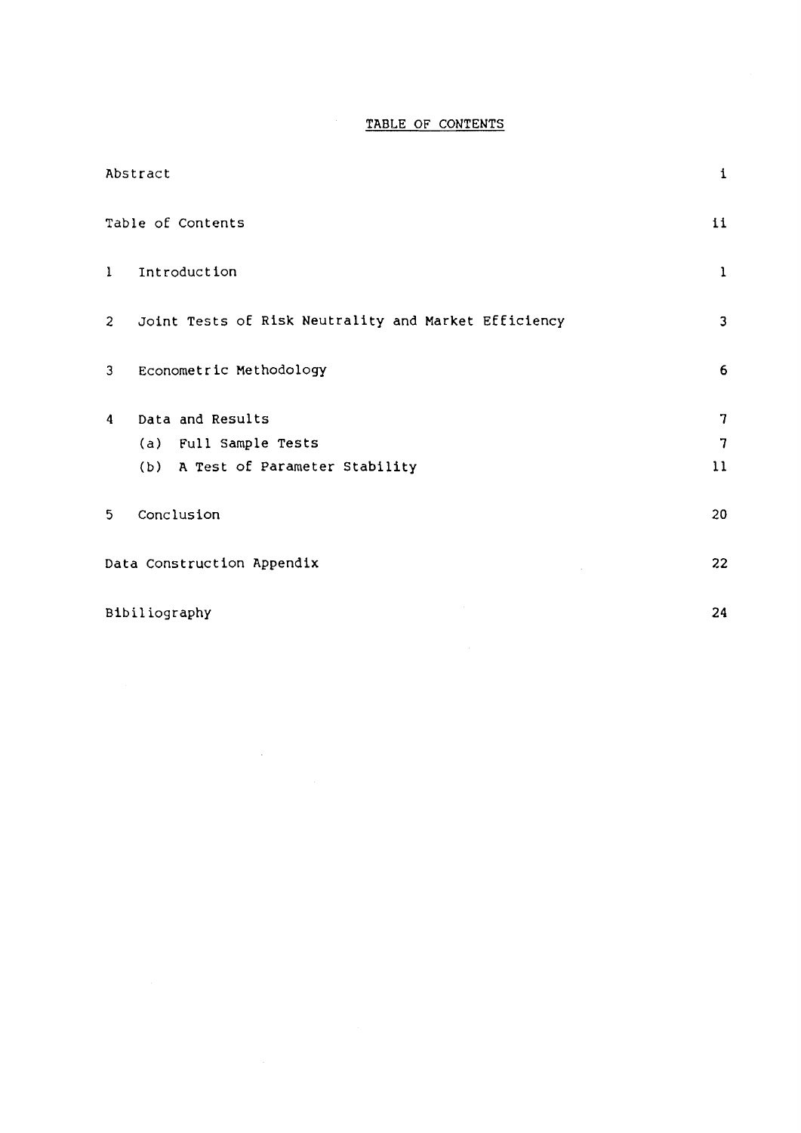# TABLE OF CONTENTS

| Abstract                                                               | $\mathbf 1$  |
|------------------------------------------------------------------------|--------------|
| Table of Contents                                                      | 11           |
| Introduction<br>1                                                      | $\mathbf{1}$ |
| Joint Tests of Risk Neutrality and Market Efficiency<br>$\overline{2}$ | 3            |
| Econometric Methodology<br>3                                           | 6            |
| Data and Results<br>4                                                  | 7            |
| (a) Full Sample Tests                                                  | 7            |
| (b) A Test of Parameter Stability                                      | 11           |
| Conclusion<br>$5\phantom{.0}$                                          | 20           |
| Data Construction Appendix                                             | 22           |
| Bibiliography                                                          | 24           |

 $\label{eq:2} \frac{1}{\sqrt{2}}\sum_{i=1}^n\frac{1}{\sqrt{2}}\sum_{i=1}^n\frac{1}{\sqrt{2}}\sum_{i=1}^n\frac{1}{\sqrt{2}}\sum_{i=1}^n\frac{1}{\sqrt{2}}\sum_{i=1}^n\frac{1}{\sqrt{2}}\sum_{i=1}^n\frac{1}{\sqrt{2}}\sum_{i=1}^n\frac{1}{\sqrt{2}}\sum_{i=1}^n\frac{1}{\sqrt{2}}\sum_{i=1}^n\frac{1}{\sqrt{2}}\sum_{i=1}^n\frac{1}{\sqrt{2}}\sum_{i=1}^n\frac{1$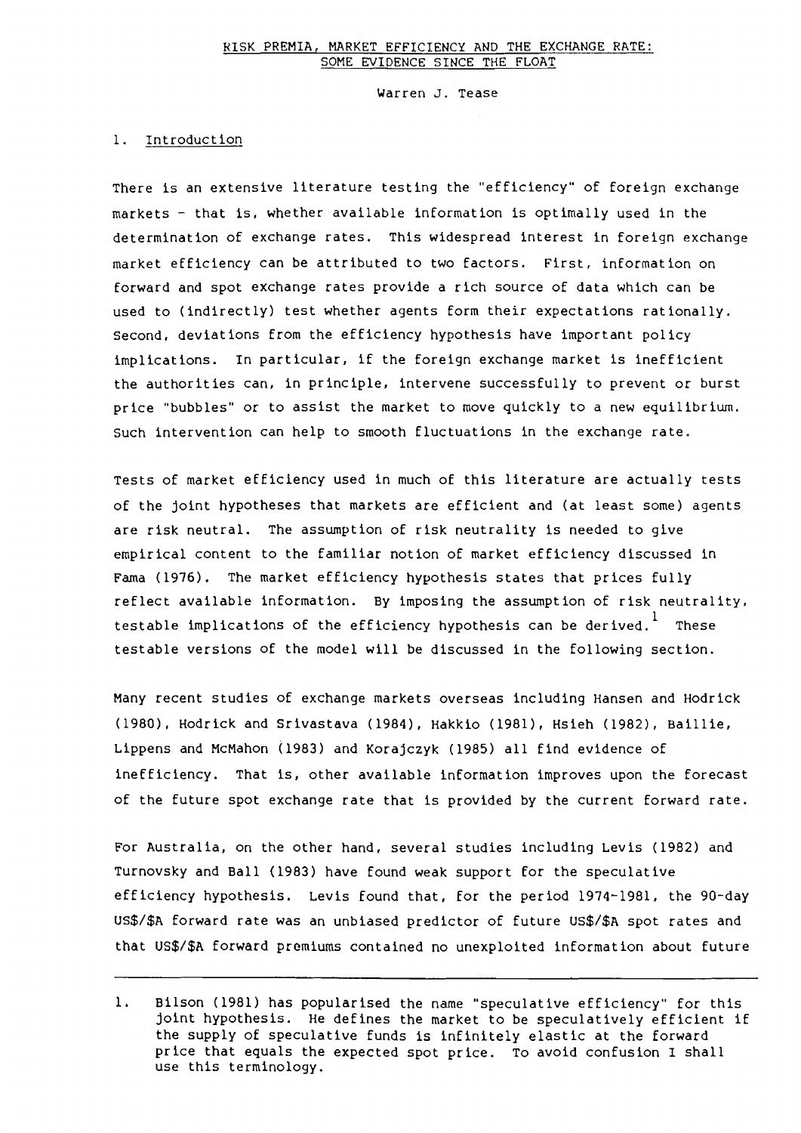Warren J. Tease

### 1. Introduction

There is an extensive literature testing the "efficiency" of foreign exchange markets - that is, whether available information is optimally used in the determination of exchange rates. This widespread interest in foreign exchange market efficiency can be attributed to two factors. First, information on forward and spot exchange rates provide a rich source of data which can be used to (indirectly) test whether agents form their expectations rationally. second, deviations from the efficiency hypothesis have important policy implications. In particular, if the foreign exchange market is inefficient the authorities can, in principle, intervene successfully to prevent or burst price "bubbles" or to assist the market to move quickly to a new equilibrium. such intervention can help to smooth fluctuations in the exchange rate.

Tests of market efficiency used in much of this literature are actually tests of the joint hypotheses that markets are efficient and (at least some) agents are risk neutral. The assumption of risk neutrality is needed to give empirical content to the familiar notion of market efficiency discussed in Fama (1976). The market efficiency hypothesis states that prices fully reflect available information. By imposing the assumption of risk neutrality, testable implications of the efficiency hypothesis can be derived. These testable versions of the model will be discussed in the following section.

Many recent studies of exchange markets overseas including Hansen and Hodrick (1980), Hodrick and Srivastava (1984), Hakkio (1981), Hsieh (1982), Baillie, Lippens and McMahon (1983) and Korajczyk (1985) all find evidence of inefficiency. That is, other available information improves upon the forecast of the future spot exchange rate that is provided by the current forward rate.

For Australia, on the other hand, several studies including Levis (1982) and Turnovsky and Ball (1983) have found weak support for the speculative efficiency hypothesis. Levis found that, for the period 1974-1981, the 90-day US\$/\$A forward rate was an unbiased predictor of future US\$/\$A spot rates and that US\$/\$A forward premiums contained no unexploited information about future

<sup>1.</sup> Bilson (1981) has popularised the name "speculative efficiency" for this joint hypothesis. He defines the market to be speculatively efficient if the supply of speculative funds is infinitely elastic at the forward price that equals the expected spot price. To avoid confusion I shall use this terminology.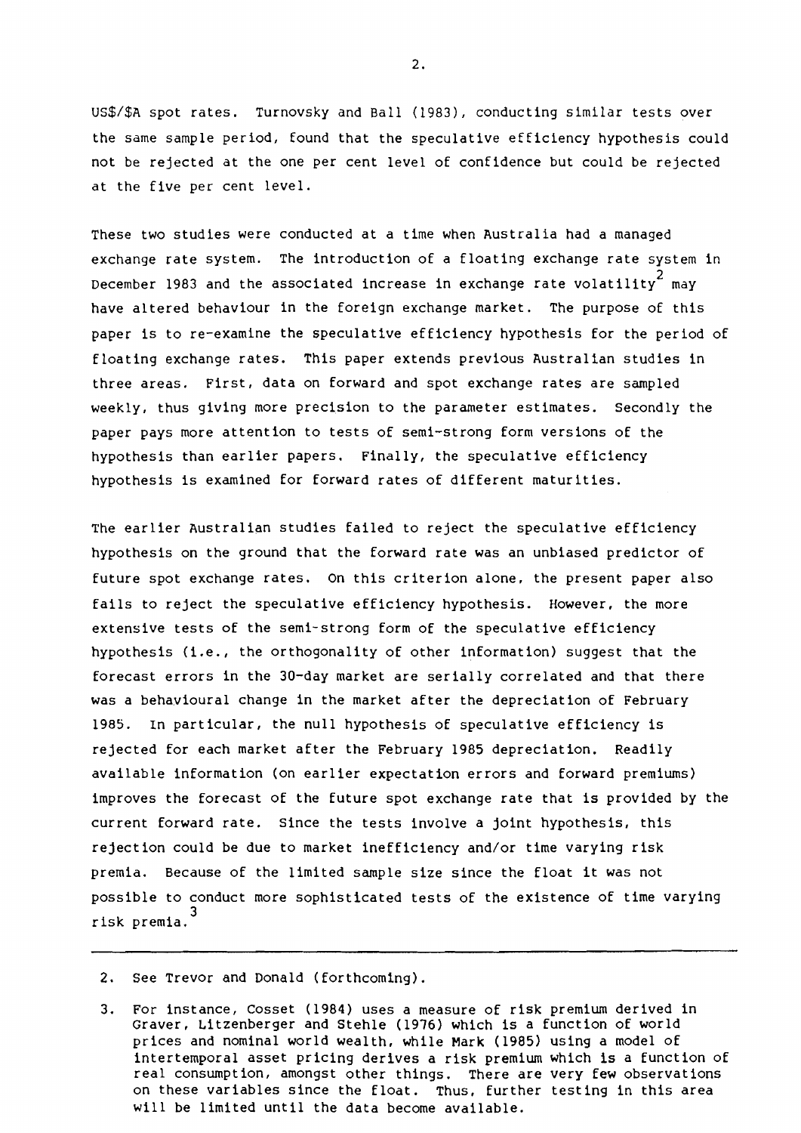US\$/\$A spot rates. Turnovsky and Ball (1983), conducting similar tests over the same sample period, found that the speculative efficiency hypothesis could not be rejected at the one per cent level of confidence but could be rejected at the five per cent level.

These two studies were conducted at a time when Australia had a managed exchange rate system. The introduction of a floating exchange rate system in December 1983 and the associated increase in exchange rate volatility  $m$ ay have altered behaviour in the foreign exchange market. The purpose of this paper is to re-examine the speculative efficiency hypothesis for the period of floating exchange rates. This paper extends previous Australian studies in three areas. First, data on forward and spot exchange rates are sampled weekly, thus giving more precision to the parameter estimates. Secondly the paper pays more attention to tests of semi-strong form versions of the hypothesis than earlier papers. Finally, the speculative efficiency hypothesis is examined for forward rates of different maturities.

The earlier Australian studies failed to reject the speculative efficiency hypothesis on the ground that the forward rate was an unbiased predictor of future spot exchange rates. On this criterion alone, the present paper also fails to reject the speculative efficiency hypothesis. However, the more extensive tests of the semi-strong form of the speculative efficiency hypothesis (i.e., the orthogonality of other information) suggest that the forecast errors in the 30-day market are serially correlated and that there was a behavioural change in the market after the depreciation of February 1985. In particular, the null hypothesis of speculative efficiency is rejected for each market after the February 1985 depreciation. Readily available information (on earlier expectation errors and forward premiums) improves the forecast of the future spot exchange rate that is provided by the current forward rate. Since the tests involve a joint hypothesis, this rejection could be due to market inefficiency and/or time varying risk premia. Because of the limited sample size since the float it was not possible to conduct more sophisticated tests of the existence of time varying 3 risk premia.

2. See Trevor and Donald (forthcoming).

3. For instance, Cosset (1984) uses a measure of risk premium derived in Graver, Litzenberger and Stehle (1976) which is a function of world prices and nominal world wealth, while Mark (1985) using a model of intertemporal asset pricing derives a risk premium which is a function of real consumption, amongst other things. There are very few observations on these variables since the float. Thus, further testing in this area will be limited until the data become available.

2.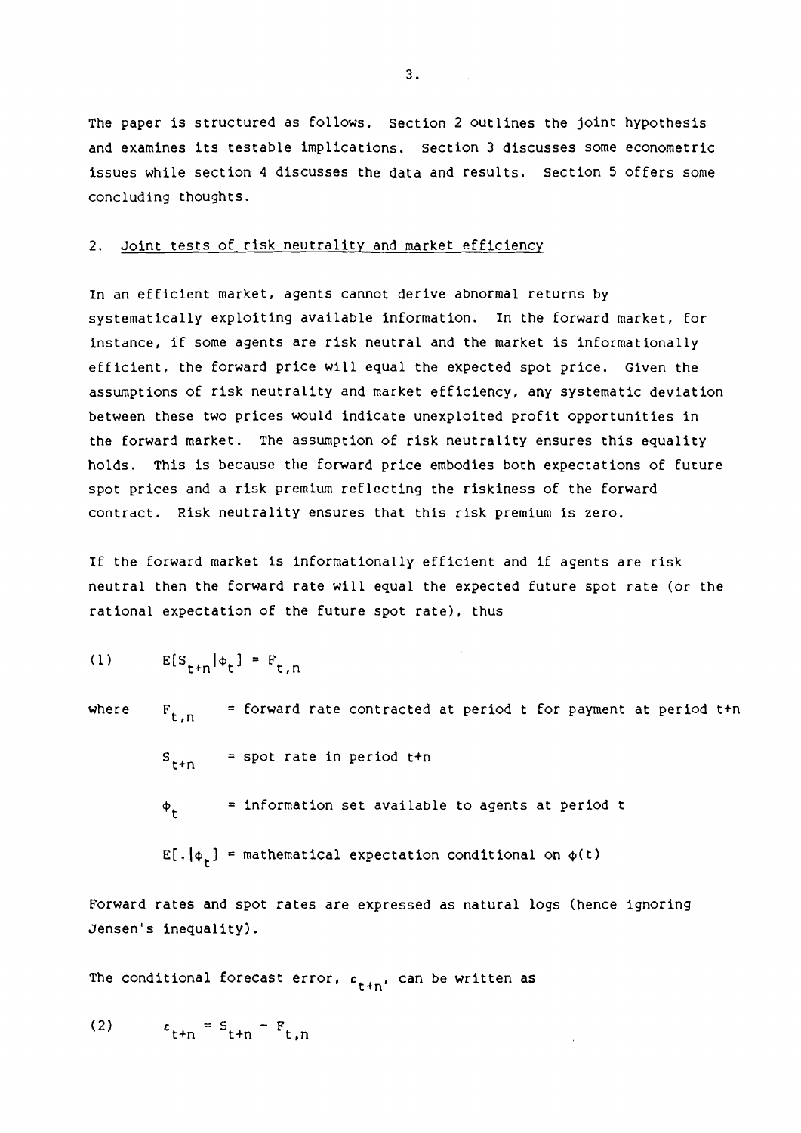The paper is structured as follows. Section 2 outlines the joint hypothesis and examines its testable implications. Section 3 discusses some econometric issues while section 4 discusses the data and results. Section 5 offers some concluding thoughts.

## 2. Joint tests of risk neutrality and market efficiency

In an efficient market, agents cannot derive abnormal returns by systematically exploiting available information. In the forward market, for instance, if some agents are risk neutral and the market is informationally efficient, the forward price will equal the expected spot price. Given the assumptions of risk neutrality and market efficiency, any systematic deviation between these two prices would indicate unexploited profit opportunities in the forward market. The assumption of risk neutrality ensures this equality holds. This is because the forward price embodies both expectations of future spot prices and a risk premium reflecting the riskiness of the forward contract. Risk neutrality ensures that this risk premium is zero.

If the forward market is informationally efficient and if agents are risk neutral then the forward rate will equal the expected future spot rate (or the rational expectation of the future spot rate), thus

$$
(1) \tE[s_{t+n}|\phi_t] = F_{t,n}
$$

where  $F_{t,n}$  = forward rate contracted at period t for payment at period t+n

 $S_{t+n}$  = spot rate in period t+n  $\phi_t$  = information set available to agents at period t

 $E[ . | \phi_t]$  = mathematical expectation conditional on  $\phi(t)$ 

Forward rates and spot rates are expressed as natural logs (hence ignoring Jensen's inequality).

The conditional forecast error,  $\epsilon_{\texttt{t+n'}}$  can be written as

$$
(2) \qquad \epsilon_{\mathsf{t+n}} = \mathsf{s}_{\mathsf{t+n}} - \mathsf{F}_{\mathsf{t,n}}
$$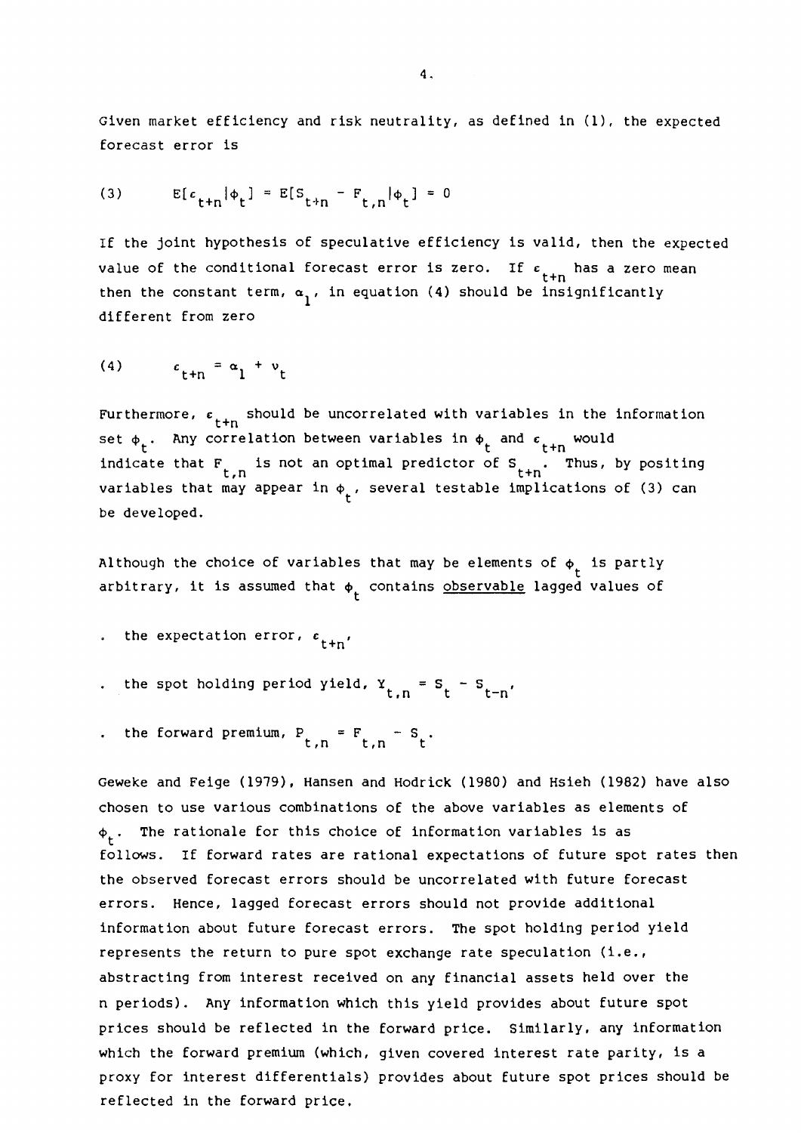Given market efficiency and risk neutrality, as defined in (1), the expected forecast error is

(3) 
$$
E[c_{t+n}|\phi_t] = E[S_{t+n} - F_{t,n}|\phi_t] = 0
$$

If the joint hypothesis of speculative efficiency is valid, then the expected value of the conditional forecast error is zero. If  $\epsilon$ <sub>t+n</sub> has a zero mean then the constant term,  $\alpha_1$ , in equation (4) should be insignificantly different from zero

$$
(4) \qquad \epsilon_{t+n} = \alpha_1 + \nu_t
$$

Furthermore,  $\varepsilon_{t+n}$  should be uncorrelated with variables in the information set  $\phi_t$ . Any correlation between variables in  $\phi_t$  and  $\epsilon$   $_{t+n}$  would indicate that  $F_{t,n}$  is not an optimal predictor of  $S_{t+n}$ . Thus, by positing variables that may appear in  $\phi_{\mathsf{t}}^{\vphantom{\dagger}}$ , several testable implications of (3) can be developed.

Although the choice of variables that may be elements of  $\phi_t$  is partly arbitrary, it is assumed that  $\phi_t$  contains <u>observable</u> lagged values of

- . the expectation error,  $\varepsilon$ <sub>t+n</sub>
- the spot holding period yield,  $Y_{t,n} = S_t S_{t-n}$
- the forward premium,  $P_{t,n} = F_{t,n} S_t$

Geweke and Feige (1979}, Hansen and Hodrick (1980) and Hsieh (1982) have also chosen to use various combinations of the above variables as elements of  $\phi_{t}$ . The rationale for this choice of information variables is as follows. If forward rates are rational expectations of future spot rates then the observed forecast errors should be uncorrelated with future forecast errors. Hence, lagged forecast errors should not provide additional information about future forecast errors. The spot holding period yield represents the return to pure spot exchange rate speculation (i.e., abstracting from interest received on any financial assets held over the n periods). Any information which this yield provides about future spot prices should be reflected in the forward price. Similarly, any information which the forward premium (which, given covered interest rate parity, is a proxy for interest differentials) provides about future spot prices should be reflected in the forward price.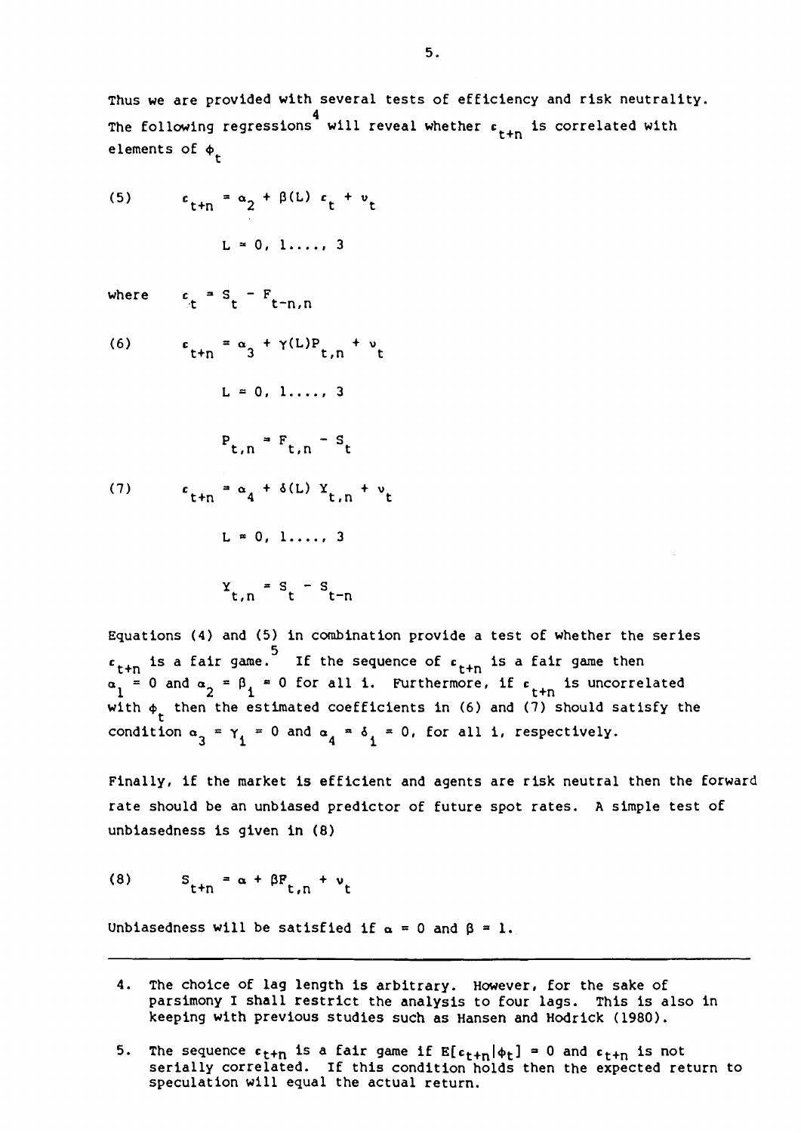Thus we are provided with several tests of efficiency and risk neutrality. The following regressions will reveal whether  $\epsilon_{\texttt{t+n}}$  is correlated with elements of  $\phi_t$ 

(5) 
$$
\epsilon_{t+n} = \alpha_2 + \beta(L) \epsilon_t + v_t
$$
  
L = 0, 1, ..., 3

 $w$ he

where 
$$
c_t = s_t - F_{t-n,n}
$$
  
(6)  $c_{t+n} = \alpha_3 + \gamma(L)P_{t,n} + \nu_t$ 

$$
L = 0, 1, ..., 3
$$
  
\n
$$
P_{t,n} = F_{t,n} - S_t
$$
  
\n(7) 
$$
c_{t+n} = \alpha_4 + \delta(L) Y_{t,n} + \nu_t
$$
  
\n
$$
L = 0, 1, ..., 3
$$
  
\n
$$
Y_{t,n} = S_t - S_{t-n}
$$

Equations (4) and (5} in combination provide a test of whether the series  $^{\mathsf{c}}$ t+n  $a_1 =$ with  $\phi_t$  then the estimated coefficients in (6) and (7) should satisfy the 5 is a fair game. 0 and  $\alpha_2 = \beta_1 = 0$ If the sequence of  $f_{t+n}$  is a fair game then for all i. Furthermore, if  $\epsilon$  is uncorrelated condition  $\alpha_3 = \gamma_1 = 0$  and  $\alpha_4 = \delta_1 = 0$ , for all i, respectively.

Finally, if the market is efficient and agents are risk neutral then the forward rate should be an unbiased predictor of future spot rates. A simple test of unbiasedness is given in (8)

$$
(8) \tS_{t+n} = \alpha + \beta F_{t,n} + \nu_t
$$

Unbiasedness will be satisfied if  $\alpha = 0$  and  $\beta = 1$ .

- 4. The choice of lag length is arbitrary. However, for the sake of parsimony I shall restrict the analysis to four lags. This is also in keeping with previous studies such as Hansen and Hedrick (1980).
- 5. The sequence  $\epsilon_{t+n}$  is a fair game if  $E[\epsilon_{t+n}|\phi_t] = 0$  and  $\epsilon_{t+n}$  is not serially correlated. If this condition holds then the expected return to speculation will equal the actual return.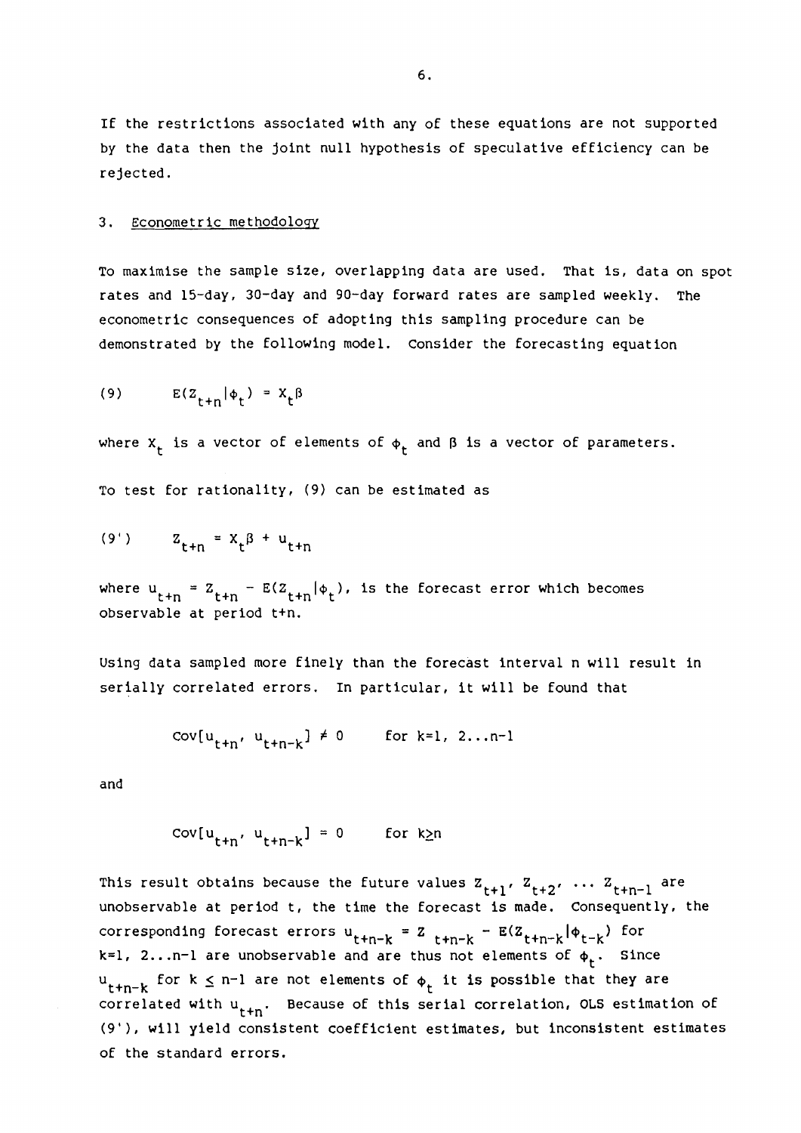If the restrictions associated with any of these equations are not supported by the data then the joint null hypothesis of speculative efficiency can be rejected.

#### 3. Econometric methodology

To maximise the sample size, overlapping data are used. That is, data on spot rates and 15-day, 30-day and 90-day forward rates are sampled weekly. The econometric consequences of adopting this sampling procedure can be demonstrated by the following model. Consider the forecasting equation

$$
(9) \tE(Z_{t+n}|\phi_t) = X_t \beta
$$

where  $X_t$  is a vector of elements of  $\phi_t$  and  $\beta$  is a vector of parameters.

To test for rationality, (9) can be estimated as

(9') 
$$
z_{t+n} = x_t \beta + u_{t+n}
$$

where  $u_{t+n} = Z_{t+n} - E(Z_{t+n} | \phi_t)$ , is the forecast error which becomes observable at period t+n.

Using data sampled more finely than the forecast interval n will result in serially correlated errors. In particular, it will be found that

$$
cov[u_{t+n}, u_{t+n-k}] \neq 0 \qquad \text{for } k=1, 2...n-1
$$

and

$$
cov[u_{t+n}, u_{t+n-k}] = 0 \qquad \text{for } k \ge n
$$

This result obtains because the future values  $z_{t+1}$ ,  $z_{t+2}$ , ...  $z_{t+n-1}$  are unobservable at period t, the time the forecast is made. Consequently, the corresponding forecast errors  $u_{t+n-k} = z_{t+n-k} - E(z_{t+n-k}|\phi_{t-k})$  for  $k=1$ , 2... n-1 are unobservable and are thus not elements of  $\phi_t$ . Since  $u_{t+n-k}$  for  $k \leq n-1$  are not elements of  $\phi_t$  it is possible that they are correlated with  $u_{t+n}$ . Because of this serial correlation, OLS estimation of (9'), will yield consistent coefficient estimates, but inconsistent estimates of the standard errors.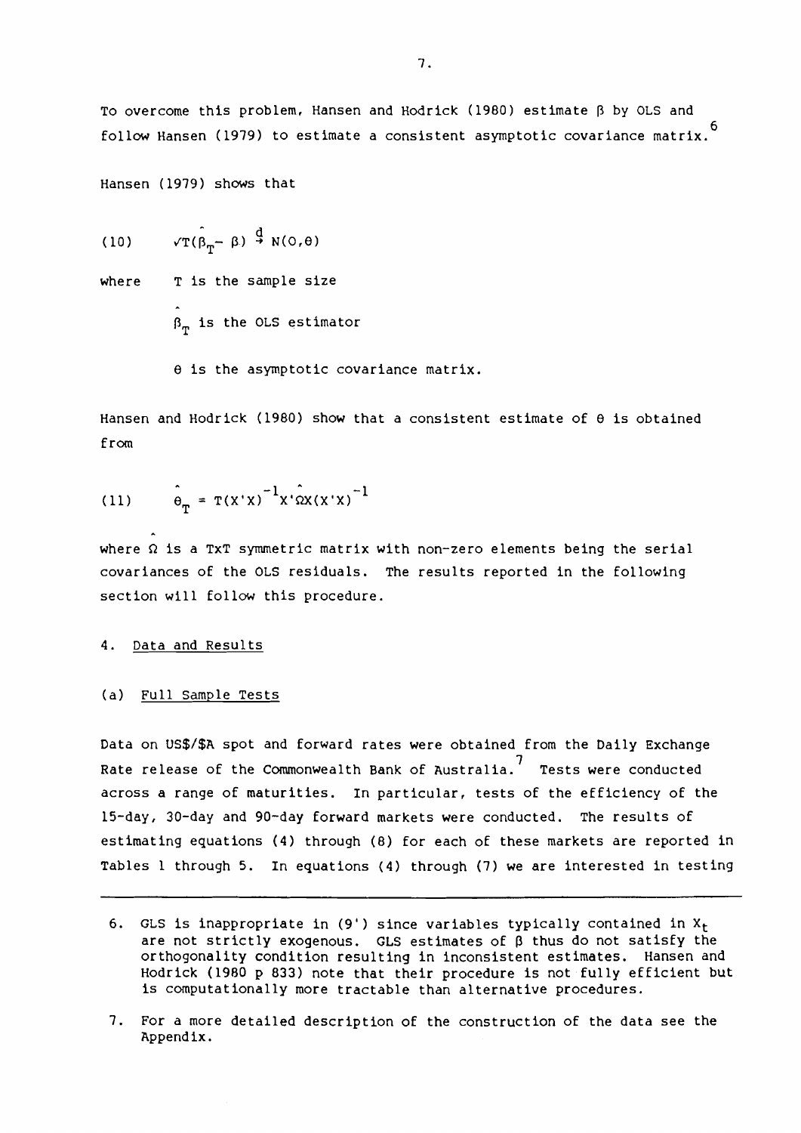To overcome this problem, Hansen and Hodrick (1980) estimate  $\beta$  by OLS and 6 follow Hansen (1979) to estimate a consistent asymptotic covariance matrix.

Hansen (1979) shows that

 $\sqrt{T}(\hat{\beta}_{T}-\beta) \stackrel{\text{d}}{\rightarrow} N(0,\theta)$ (10)

where T is the sample size

 $\beta_m$  is the OLS estimator

e is the asymptotic covariance matrix.

Hansen and Hodrick (1980) show that a consistent estimate of  $\theta$  is obtained from

(11) 
$$
\hat{\theta}_{m} = T(X'X)^{-1}X' \hat{\Omega}X(X'X)^{-1}
$$

where  $\Omega$  is a TXT symmetric matrix with non-zero elements being the serial covariances of the OLS residuals. The results reported in the following section will follow this procedure.

#### 4. Data and Results

(a) Full Sample Tests

Data on US\$/\$A spot and forward rates were obtained from the Daily Exchange 7 Rate release of the Commonwealth Bank of Australia. Tests were conducted across a range of maturities. In particular, tests of the efficiency of the 15-day, 30-day and 90-day forward markets were conducted. The results of estimating equations (4) through (8) for each of these markets are reported in Tables 1 through 5. In equations (4) through (7) we are interested in testing

<sup>6.</sup> GLS is inappropriate in (9') since variables typically contained in  $X_t$ are not strictly exogenous. GLS estimates of  $\beta$  thus do not satisfy the orthogonality condition resulting in inconsistent estimates. Hansen and Hedrick (1980 p 833) note that their procedure is not fully efficient but is computationally more tractable than alternative procedures.

<sup>7.</sup> For a more detailed description of the construction of the data see the Appendix.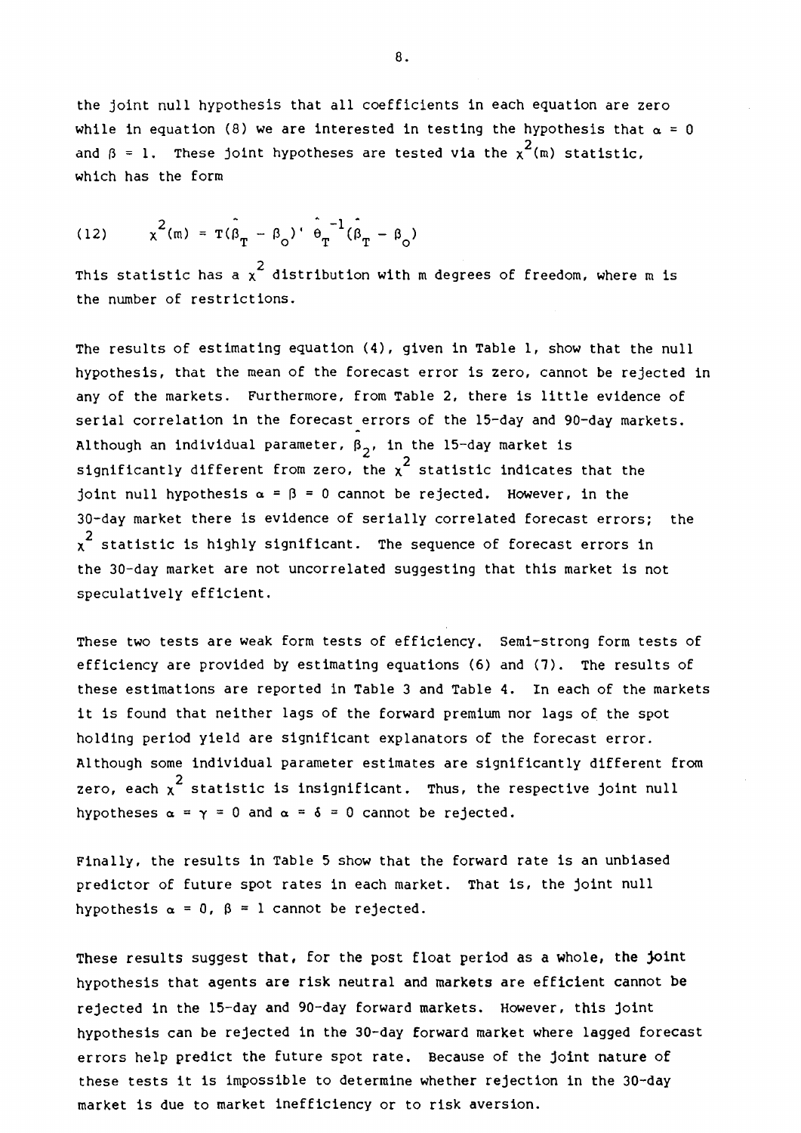the joint null hypothesis that all coefficients in each equation are zero while in equation (8) we are interested in testing the hypothesis that  $\alpha = 0$ and  $\beta$  = 1. These joint hypotheses are tested via the  $\chi^2(\mathfrak{m})$  statistic, which has the form

(12) 
$$
\chi^2(m) = \hat{\tau(\beta_T - \beta_0)} \cdot \hat{\theta_T}^{-1} (\hat{\beta_T - \beta_0})
$$

This statistic has a  $\chi^2$  distribution with m degrees of freedom, where m is the number of restrictions.

The results of estimating equation (4), given in Table 1, show that the null hypothesis, that the mean of the forecast error is zero, cannot be rejected in any of the markets. Furthermore, from Table 2, there is little evidence of serial correlation in the forecast errors of the 15-day and 90-day markets. Although an individual parameter,  $\beta_2$ , in the 15-day market is significantly different from zero, the  $x^2$  statistic indicates that the joint null hypothesis  $\alpha = \beta = 0$  cannot be rejected. However, in the 30-day market there is evidence of serially correlated forecast errors; the  $\chi^2$  statistic is highly significant. The sequence of forecast errors in the 30-day market are not uncorrelated suggesting that this market is not speculatively efficient.

These two tests are weak form tests of efficiency. Semi-strong form tests of efficiency are provided by estimating equations (6) and (7). The results of these estimations are reported in Table 3 and Table 4. In each of the markets it is found that neither lags of the forward premium nor lags of the spot holding period yield are significant explanators of the forecast error. Although some individual parameter estimates are significantly different from zero, each  $\chi^2$  statistic is insignificant. Thus, the respective joint null hypotheses  $\alpha = \gamma = 0$  and  $\alpha = \delta = 0$  cannot be rejected.

Finally, the results in Table 5 show that the forward rate is an unbiased predictor of future spot rates in each market. That is, the joint null hypothesis  $\alpha = 0$ ,  $\beta = 1$  cannot be rejected.

These results suggest that, for the post float period as a whole, the joint hypothesis that agents are risk neutral and markets are efficient cannot be rejected in the 15-day and 90-day forward markets. However, this joint hypothesis can be rejected in the 30-day forward market where lagged forecast errors help predict the future spot rate. Because of the joint nature of these tests it is impossible to determine whether rejection in the 30-day market is due to market inefficiency or to risk aversion.

8.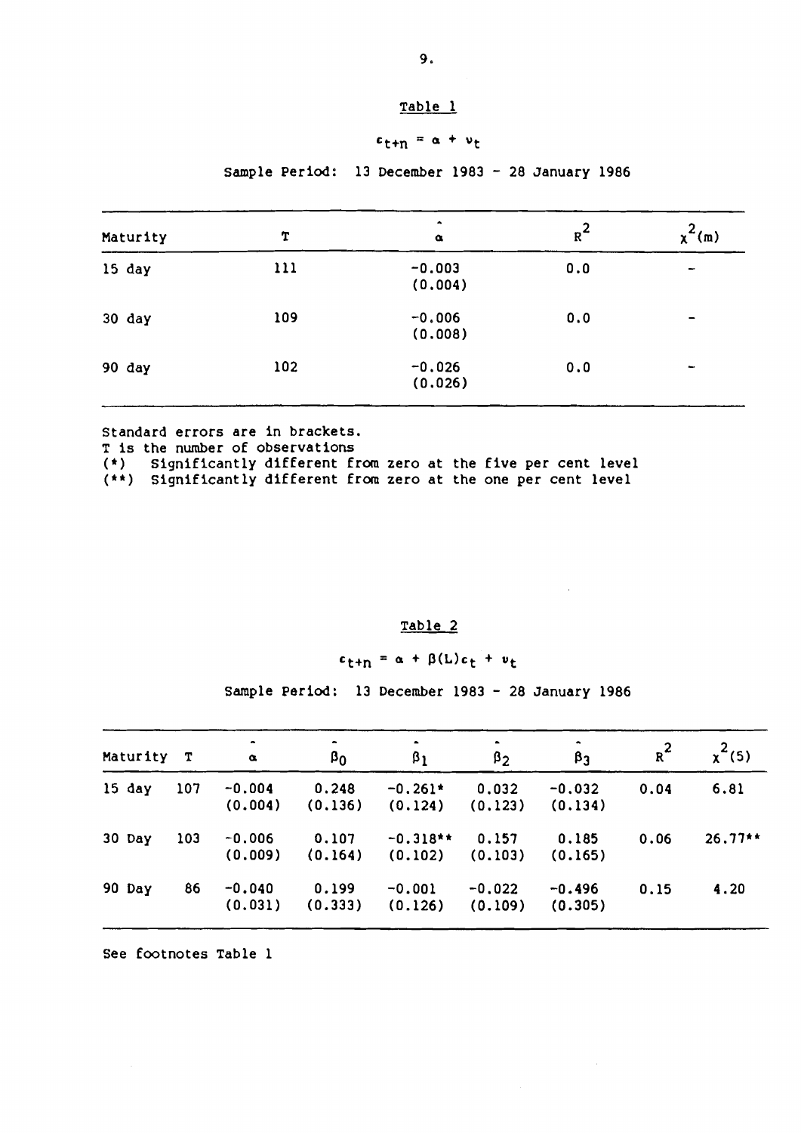# $c_{t+n} = \alpha + v_t$

# Sample Period: 13 December 1983 - 28 January 1986

| Maturity | T   | ۰<br>$\alpha$       | $R^2$ | $x^2(m)$                 |
|----------|-----|---------------------|-------|--------------------------|
| 15 day   | 111 | $-0.003$<br>(0.004) | 0.0   | $\overline{\phantom{a}}$ |
| 30 day   | 109 | $-0.006$<br>(0.008) | 0.0   | -                        |
| 90 day   | 102 | $-0.026$<br>(0.026) | 0.0   | $\qquad \qquad$          |

Standard errors are in brackets.

T is the number of observations

(\*) Significantly different from zero at the five per cent level

(\*\*) Significantly different from zero at the one per cent level

## Table 2

 $c_{t+n} = \alpha + \beta(L)c_t + v_t$ 

Sample Period: 13 December 1983 - 28 January 1986

| Maturity T |     | $\bullet$<br>$\alpha$ | $\beta_0$        | $\bullet$<br>$\beta_1$ | ٠<br>$\beta_2$      | ۰<br>$\beta_3$      | $R^2$ | $x^2(5)$  |
|------------|-----|-----------------------|------------------|------------------------|---------------------|---------------------|-------|-----------|
| $15$ day   | 107 | $-0.004$<br>(0.004)   | 0.248<br>(0.136) | $-0.261*$<br>(0.124)   | 0.032<br>(0.123)    | $-0.032$<br>(0.134) | 0.04  | 6.81      |
| 30 Day     | 103 | $-0.006$<br>(0.009)   | 0.107<br>(0.164) | $-0.318**$<br>(0.102)  | 0.157<br>(0.103)    | 0.185<br>(0.165)    | 0.06  | $26.77**$ |
| 90 Day     | 86  | $-0.040$<br>(0.031)   | 0.199<br>(0.333) | $-0.001$<br>(0.126)    | $-0.022$<br>(0.109) | $-0.496$<br>(0.305) | 0.15  | 4.20      |

See footnotes Table 1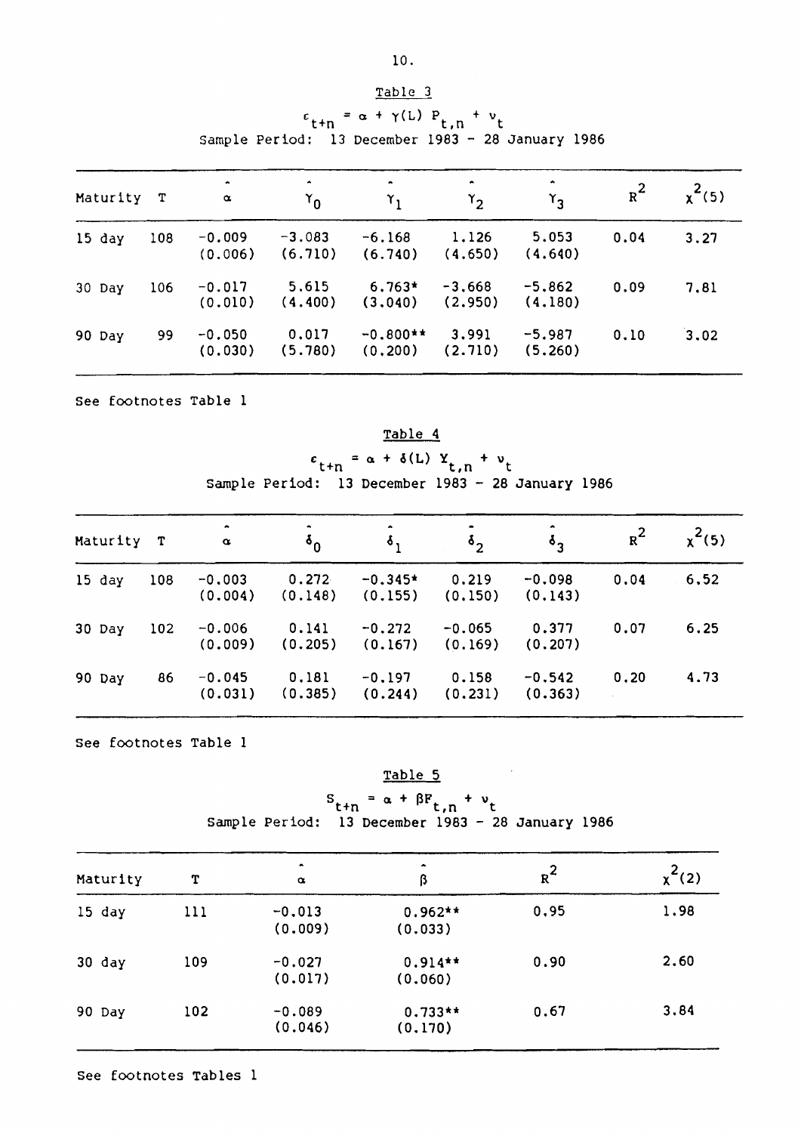|          | $\epsilon_{\text{t+n}} = \alpha + \gamma(L) P_{\text{t,n}} + v_{\text{t}}$<br>Sample Period: 13 December 1983 - 28 January 1986 |                     |                                    |                        |                     |                     |       |          |  |  |  |  |  |
|----------|---------------------------------------------------------------------------------------------------------------------------------|---------------------|------------------------------------|------------------------|---------------------|---------------------|-------|----------|--|--|--|--|--|
| Maturity | $\mathbf{T}$                                                                                                                    | ۰<br>$\pmb{\alpha}$ | $\blacktriangle$<br>$\mathsf{r}_0$ | $r_1$                  | ٠<br>$\mathsf{Y}_2$ | $\mathsf{r}_3$      | $R^2$ | $x^2(5)$ |  |  |  |  |  |
| 15 day   | 108                                                                                                                             | $-0.009$<br>(0.006) | $-3.083$<br>(6.710)                | $-6.168$<br>(6.740)    | 1.126<br>(4.650)    | 5.053<br>(4.640)    | 0.04  | 3.27     |  |  |  |  |  |
| 30 Day   | 106                                                                                                                             | $-0.017$<br>(0.010) | 5,615<br>(4.400)                   | $6.763*$<br>(3.040)    | $-3,668$<br>(2.950) | $-5,862$<br>(4.180) | 0.09  | 7.81     |  |  |  |  |  |
| 90 Day   | 99                                                                                                                              | $-0.050$<br>(0.030) | 0.017<br>(5.780)                   | $-0.800**$<br>(0, 200) | 3.991<br>(2.710)    | $-5.987$<br>(5.260) | 0.10  | 3.02     |  |  |  |  |  |

See footnotes Table 1

Table 4  $c_{t+n} = \alpha + \delta(L) Y_{t,n} + v_t$ 

Sample Period: 13 December 1983 - 28 January 1986

| Maturity T |     | ۰<br>$\alpha$       | ۰<br>$\mathbf{v}_0$ | $\bullet$<br>$\delta$ , | ٠<br>$\delta_{\mathcal{D}}$ | ۰<br>$\delta_{\alpha}$ | $R^2$ | $x^2(5)$ |
|------------|-----|---------------------|---------------------|-------------------------|-----------------------------|------------------------|-------|----------|
| $15$ day   | 108 | $-0.003$<br>(0.004) | 0.272<br>(0.148)    | $-0.345*$<br>(0.155)    | 0.219<br>(0.150)            | $-0.098$<br>(0.143)    | 0.04  | 6,52     |
| 30 Day     | 102 | $-0.006$<br>(0.009) | 0.141<br>(0.205)    | $-0.272$<br>(0.167)     | $-0.065$<br>(0.169)         | 0.377<br>(0.207)       | 0.07  | 6.25     |
| 90 Day     | 86  | $-0.045$<br>(0.031) | 0.181<br>(0.385)    | $-0.197$<br>(0.244)     | 0.158<br>(0.231)            | $-0.542$<br>(0.363)    | 0.20  | 4.73     |

See footnotes Table 1

Table 5  $S_{t+n} = \alpha + \beta F_{t,n} + \nu_t$ sample Period: 13 December 1983 - 28 January 1986

| Maturity | т   | $\bullet$<br>$\alpha$ | $\hat{\phantom{a}}$<br>ß | $R^2$ | $x^2(2)$ |
|----------|-----|-----------------------|--------------------------|-------|----------|
| 15 day   | 111 | $-0.013$<br>(0.009)   | $0.962**$<br>(0.033)     | 0.95  | 1.98     |
| $30$ day | 109 | $-0.027$<br>(0.017)   | $0.914**$<br>(0.060)     | 0.90  | 2.60     |
| 90 Day   | 102 | $-0.089$<br>(0.046)   | $0.733**$<br>(0.170)     | 0.67  | 3,84     |

Table 3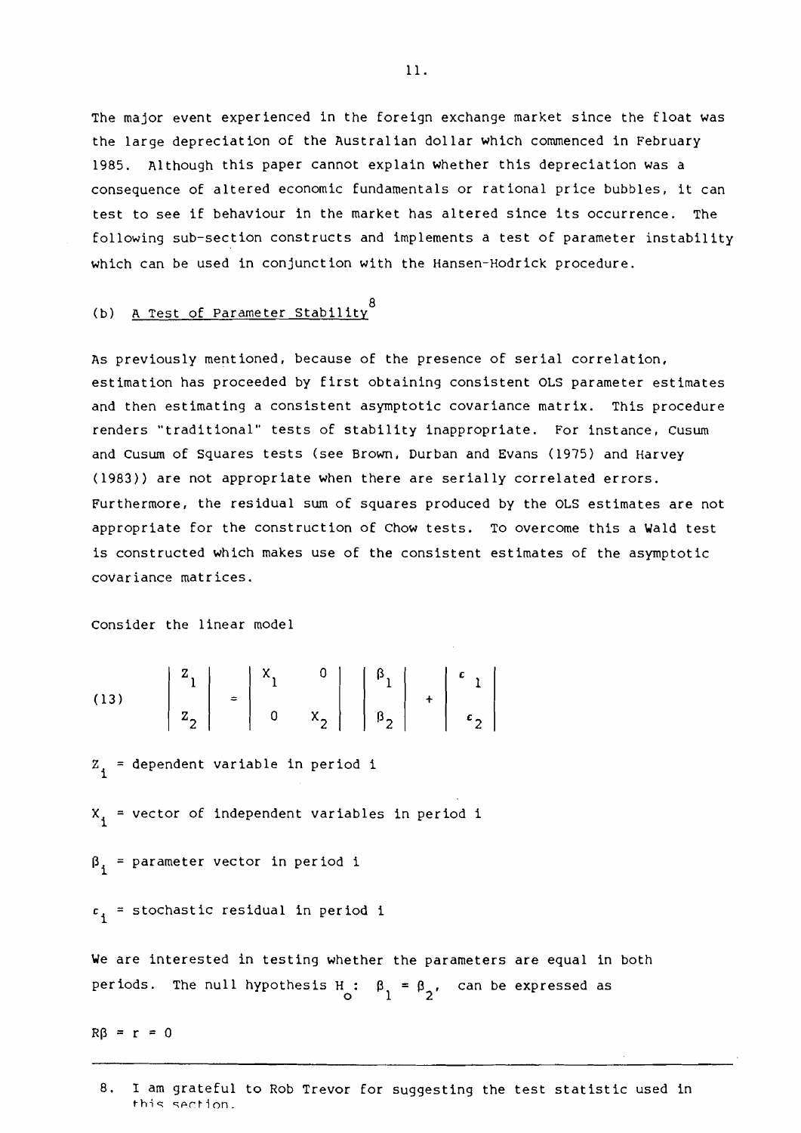The major event experienced in the foreign exchange market since the float was the large depreciation of the Australian dollar which commenced in February 1985. Although this paper cannot explain whether this depreciation was a consequence of altered economic fundamentals or rational price bubbles, it can test to see if behaviour in the market has altered since its occurrence. The following sub-section constructs and implements a test of parameter instability which can be used in conjunction with the Hansen-Hedrick procedure.

# (b) <u>A Test of Parameter Stabi</u>lity<sup>8</sup>

As previously mentioned, because of the presence of serial correlation, estimation has proceeded by first obtaining consistent OLS parameter estimates and then estimating a consistent asymptotic covariance matrix. This procedure renders "traditional" tests of stability inappropriate. For instance, Cusum and Cusum of Squares tests (see Brown, Durban and Evans (1975) and Harvey (1983)) are not appropriate when there are serially correlated errors. Furthermore, the residual sum of squares produced by the OLS estimates are not appropriate for the construction of Chow tests. To overcome this a Wald test is constructed which makes use of the consistent estimates of the asymptotic covariance matrices.

Consider the linear model

(13) 
$$
\begin{vmatrix} z_1 \\ z_2 \end{vmatrix} = \begin{vmatrix} x_1 & 0 \\ 0 & x_2 \end{vmatrix} \begin{vmatrix} \beta_1 \\ \beta_2 \end{vmatrix} + \begin{vmatrix} \epsilon_1 \\ \epsilon_2 \end{vmatrix}
$$

 $z_i$  = dependent variable in period i

 $X_i$  = vector of independent variables in period i

 $\beta_i$  = parameter vector in period i

 $c_i$  = stochastic residual in period i

We are interested in testing whether the parameters are equal in both periods. The null hypothesis H :  $\beta_1 = \beta_2$ , can be expressed as

 $R\beta = r = 0$ 

<sup>8.</sup> 1 am grateful to Rob Trevor for suggesting the test statistic used in this section.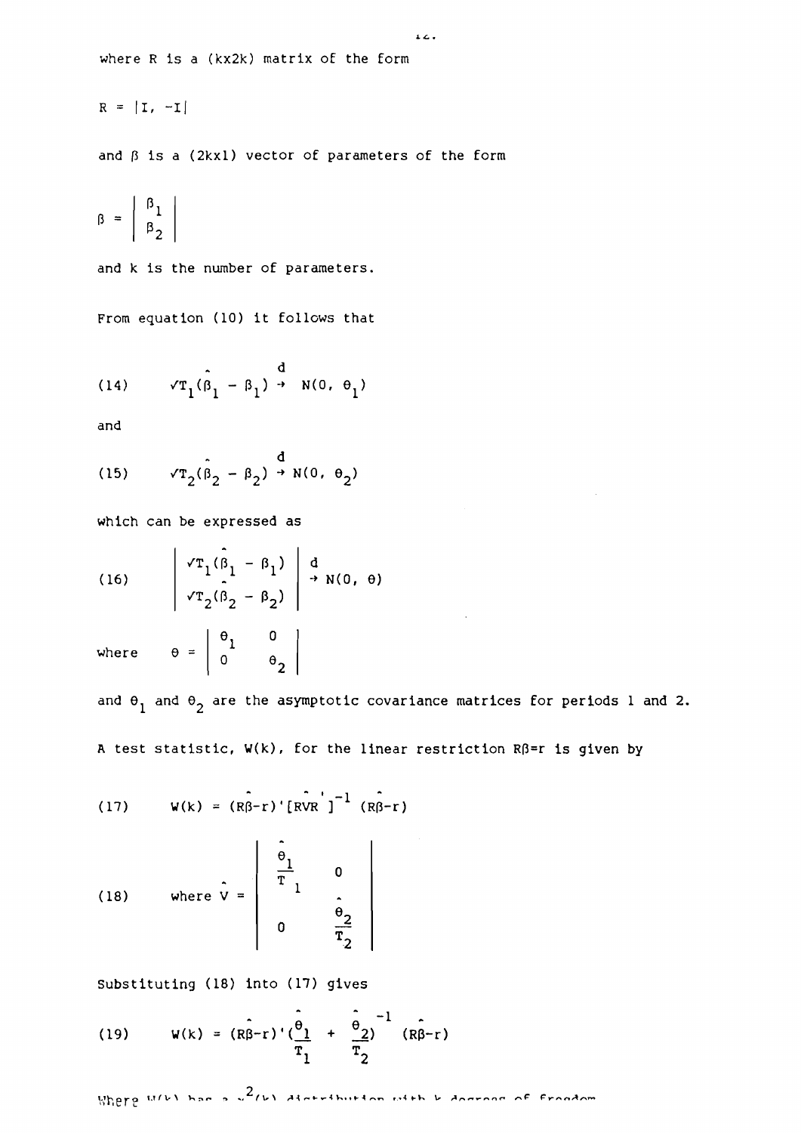$$
R = |I, -I|
$$

and  $\beta$  is a (2kxl) vector of parameters of the form

 $12.4$ 

$$
\beta = \left| \begin{array}{c} \beta_1 \\ \beta_2 \end{array} \right|
$$

and k is the number of parameters.

From equation (10) it follows that

(14) 
$$
\sqrt{T_1}(\hat{\beta}_1 - \beta_1) \rightarrow N(0, \theta_1)
$$

and

(15) 
$$
\sqrt{\tau_2}(\hat{\beta}_2 - \beta_2) \stackrel{d}{\rightarrow} N(0, \theta_2)
$$

which can be expressed as

(16) 
$$
\begin{vmatrix} \sqrt{T_1}(\hat{\beta}_1 - \beta_1) & d \\ \sqrt{T_2}(\hat{\beta}_2 - \beta_2) & \rightarrow N(0, \theta) \end{vmatrix}
$$

where  $\theta = \begin{bmatrix} \theta_1 & 0 \\ 0 & \theta_2 \end{bmatrix}$ 

and  $\theta_1$  and  $\theta_2$  are the asymptotic covariance matrices for periods 1 and 2. A test statistic,  $W(k)$ , for the linear restriction  $R\beta=r$  is given by

(17) 
$$
W(k) = (R\hat{\beta}-r) \cdot [RVR^{\dagger}]^{-1} (R\hat{\beta}-r)
$$

(18) where 
$$
\hat{V} = \begin{bmatrix} \frac{\hat{e}_1}{T} & 0 \\ 0 & \frac{\hat{e}_2}{T} \\ 0 & \frac{\hat{e}_2}{T} \end{bmatrix}
$$

Substituting (18) into (17) gives

(19) 
$$
W(k) = (R\hat{\beta}-r) \left(\frac{\hat{\theta}_1}{T_1} + \frac{\hat{\theta}_2}{T_2}\right)^{-1} (R\hat{\beta}-r)
$$

Where  $u(v)$  has a  $u^2(v)$  distribution with  $v$  dograph of frondom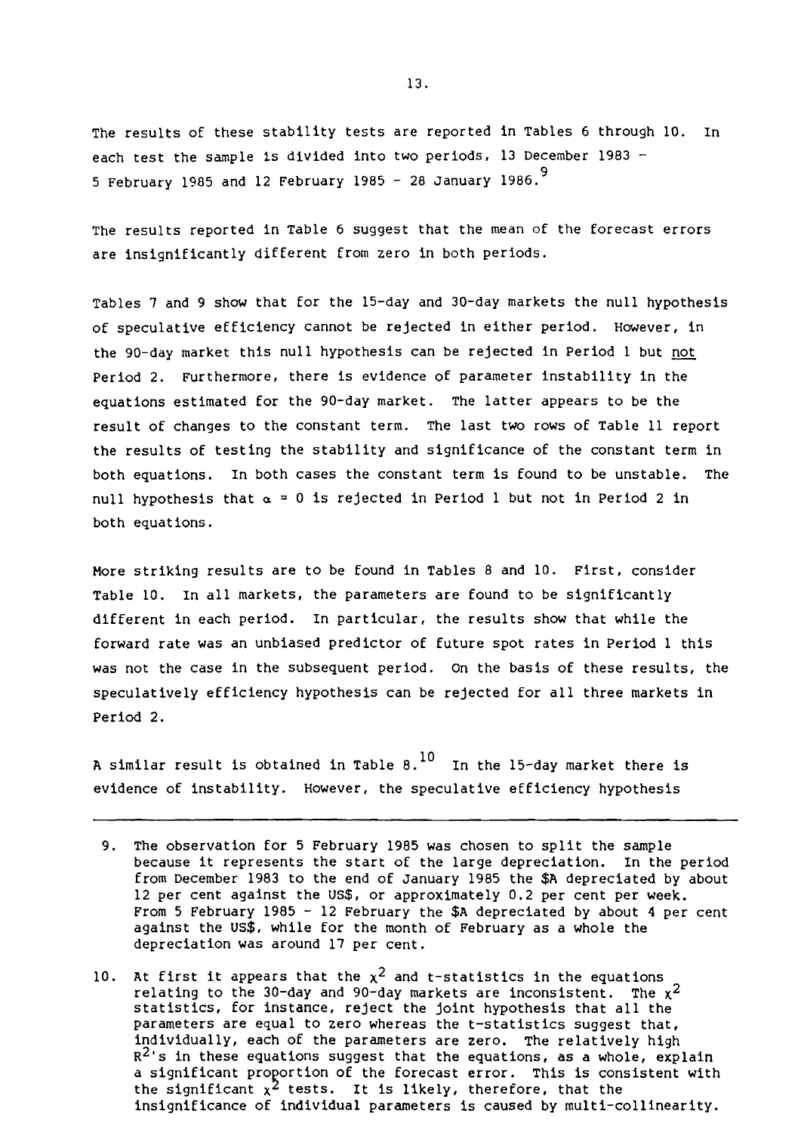The results of these stability tests are reported in Tables 6 through 10. In each test the sample is divided into two periods, 13 December 1983  $-$ 5 February 1985 and 12 February 1985 - 28 January 1986.<sup>9</sup>

The results reported in Table 6 suggest that the mean of the forecast errors are insignificantly different from zero in both periods.

Tables 7 and 9 show that for the 15-day and 30-day markets the null hypothesis of speculative efficiency cannot be rejected in either period. However, in the 90-day market this null hypothesis can be rejected in Period 1 but not Period 2. Furthermore, there is evidence of parameter instability in the equations estimated for the 90-day market. The latter appears to be the result of changes to the constant term. The last two rows of Table 11 report the results of testing the stability and significance of the constant term in both equations. In both cases the constant term is found to be unstable. The null hypothesis that  $\alpha = 0$  is rejected in Period 1 but not in Period 2 in both equations.

More striking results are to be found in Tables 8 and 10. First, consider Table 10. In all markets, the parameters are found to be significantly different in each period. In particular, the results show that while the forward rate was an unbiased predictor of future spot rates in Period 1 this was not the case in the subsequent period. On the basis of these results, the speculatively efficiency hypothesis can be rejected for all three markets in Period 2.

A similar result is obtained in Table 8.<sup>10</sup> In the 15-day market there is evidence of instability. However, the speculative efficiency hypothesis

- 9. The observation for 5 February 1985 was chosen to split the sample because it represents the start of the large depreciation. In the period from December 1983 to the end of January 1985 the \$A depreciated by about 12 per cent against the US\$, or approximately 0.2 per cent per week. From 5 February 1985 - 12 February the  $$A$  depreciated by about 4 per cent against the US\$, while for the month of February as a whole the depreciation was around 17 per cent.
- 10. At first it appears that the  $\chi^2$  and t-statistics in the equations relating to the 30-day and 90-day markets are inconsistent. The  $x^2$ statistics, for instance, reject the joint hypothesis that all the parameters are equal to zero whereas the t-statistics suggest that, individually, each of the parameters are zero. The relatively high  $R^2$ 's in these equations suggest that the equations, as a whole, explain a significant proportion of the forecast error. This is consistent with the significant  $x^2$  tests. It is likely, therefore, that the insignificance of individual parameters is caused by multi-collinearity.

13.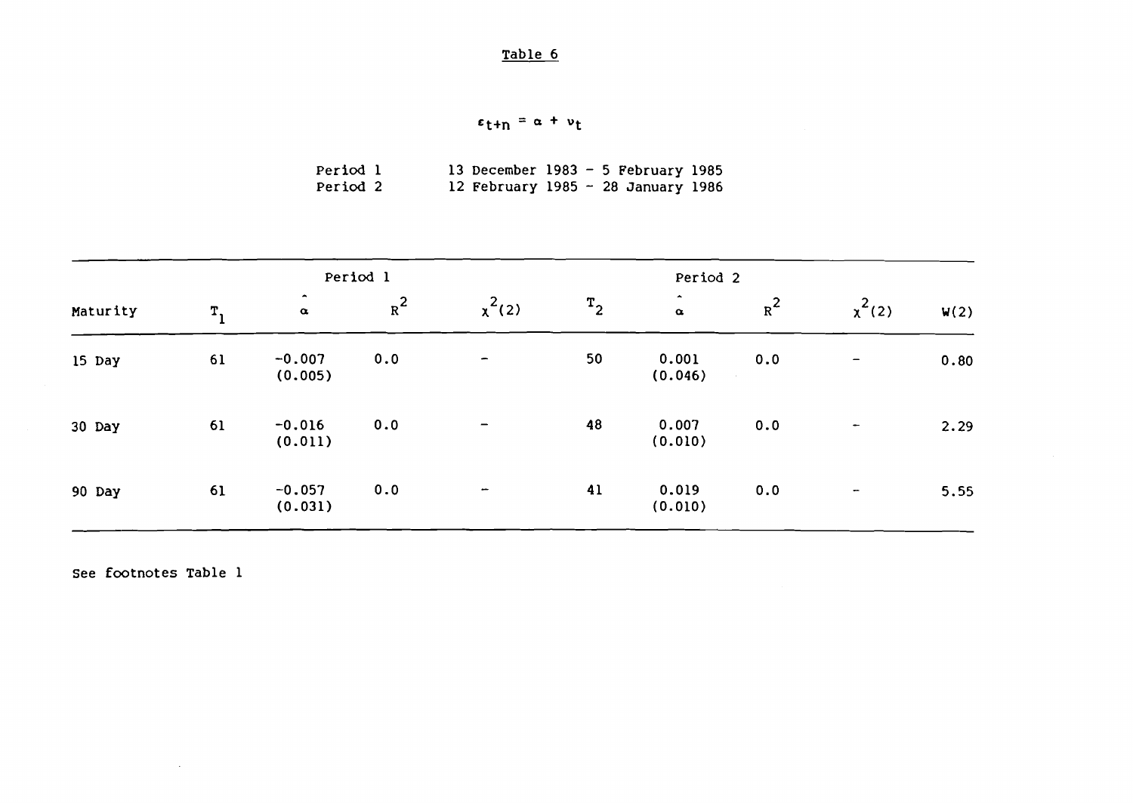$$
\epsilon_{t+n} = \alpha + \nu_t
$$

| Period 1 |  | 13 December 1983 - 5 February 1985 |  |  |  |
|----------|--|------------------------------------|--|--|--|
| Period 2 |  | 12 February 1985 - 28 January 1986 |  |  |  |

|          |         |                                       | Period 1 |                          |       | Period 2                           |       |                          |      |
|----------|---------|---------------------------------------|----------|--------------------------|-------|------------------------------------|-------|--------------------------|------|
| Maturity | $T_{1}$ | $\hat{\phantom{a}}$<br>$\pmb{\alpha}$ | $R^2$    | $x^2(2)$                 | $T_2$ | $\blacktriangle$<br>$\pmb{\alpha}$ | $R^2$ | $x^2(2)$                 | W(2) |
| 15 Day   | 61      | $-0.007$<br>(0.005)                   | 0.0      | $\overline{\phantom{m}}$ | 50    | 0.001<br>(0.046)                   | 0.0   | $\overline{\phantom{m}}$ | 0.80 |
| 30 Day   | 61      | $-0.016$<br>(0.011)                   | 0.0      |                          | 48    | 0.007<br>(0.010)                   | 0.0   |                          | 2.29 |
| 90 Day   | 61      | $-0.057$<br>(0.031)                   | 0.0      | -                        | 41    | 0.019<br>(0.010)                   | 0.0   | $\overline{\phantom{a}}$ | 5.55 |

See footnotes Table 1

 $\sim$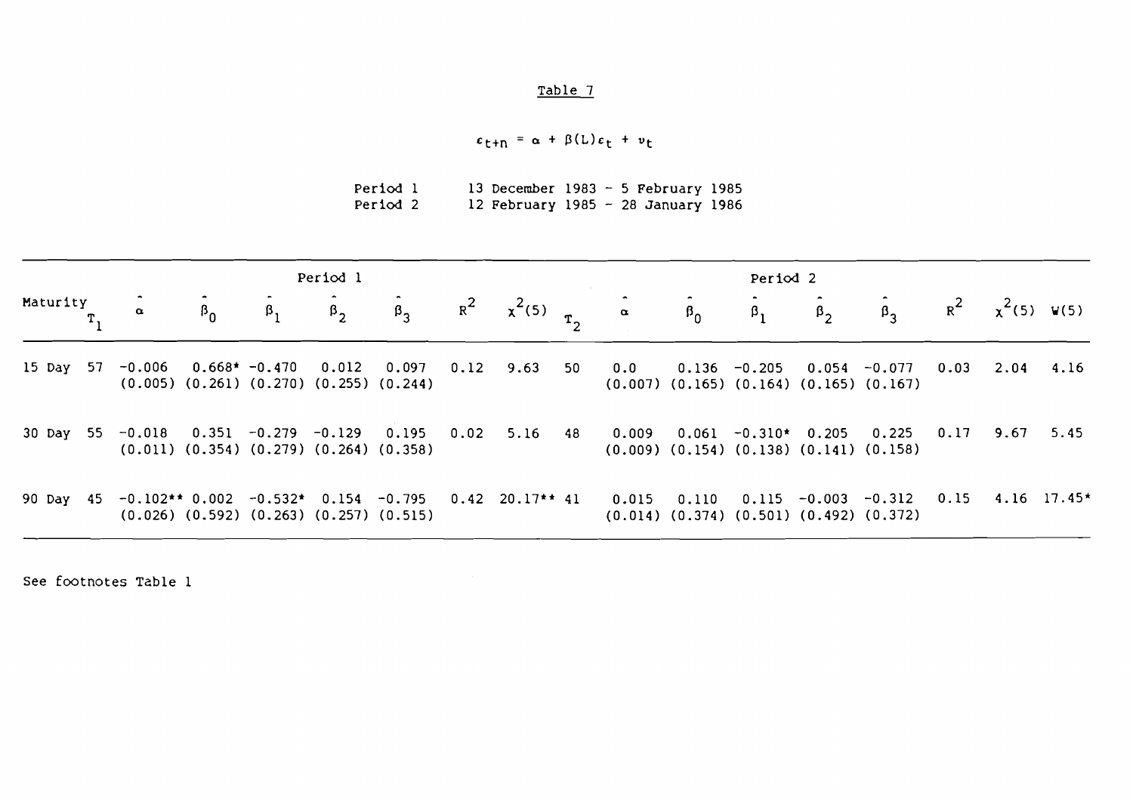$\varepsilon_{t+n} = \alpha + \beta(L)\varepsilon_t + v_t$ 

| Period 1 |  | 13 December 1983 - 5 February 1985 |  |  |
|----------|--|------------------------------------|--|--|
| Period 2 |  | 12 February 1985 - 28 January 1986 |  |  |

|          | Period 1 |                |           |                     |  |  |  | Period <sub>2</sub>                              |                                                                                                                                                                                                        |                      |           |           |                      |      |                          |           |
|----------|----------|----------------|-----------|---------------------|--|--|--|--------------------------------------------------|--------------------------------------------------------------------------------------------------------------------------------------------------------------------------------------------------------|----------------------|-----------|-----------|----------------------|------|--------------------------|-----------|
| Maturity |          | $\pmb{\alpha}$ | $\beta_0$ | $\beta_1$ $\beta_2$ |  |  |  | $\hat{\beta}_3$ $R^2$ $\chi^2(5)$ $\hat{\alpha}$ |                                                                                                                                                                                                        | $\hat{\mathbf{B}}_0$ | $\beta_1$ | $\beta_2$ | $\beta_{\mathbf{q}}$ |      | $R^2$ $\chi^2(5)$ $V(5)$ |           |
|          |          |                |           |                     |  |  |  |                                                  | 15 Day 57 -0.006  0.668* -0.470  0.012  0.097  0.12  9.63  50  0.0  0.136 -0.205  0.054  -0.077<br>$(0.005)$ $(0.261)$ $(0.270)$ $(0.255)$ $(0.244)$ $(0.007)$ $(0.165)$ $(0.164)$ $(0.165)$ $(0.167)$ |                      |           |           |                      |      | $0.03$ 2.04 4.16         |           |
|          |          |                |           |                     |  |  |  |                                                  | 30 Day 55 -0.018 0.351 -0.279 -0.129 0.195 0.02 5.16 48 0.009 0.061 -0.310* 0.205 0.225<br>$(0.011)$ $(0.354)$ $(0.279)$ $(0.264)$ $(0.358)$ $(0.1009)$ $(0.154)$ $(0.138)$ $(0.141)$ $(0.158)$        |                      |           |           |                      | 0.17 |                          | 9.67 5.45 |
|          |          |                |           |                     |  |  |  |                                                  | 90 Day 45 -0.102** 0.002 -0.532* 0.154 -0.795 0.42 20.17** 41 0.015 0.110 0.115 -0.003 -0.312<br>$(0.026)$ $(0.592)$ $(0.263)$ $(0.257)$ $(0.515)$ $(0.014)$ $(0.374)$ $(0.501)$ $(0.492)$ $(0.372)$   |                      |           |           |                      |      | $0.15$ 4.16 17.45*       |           |

See footnotes Table l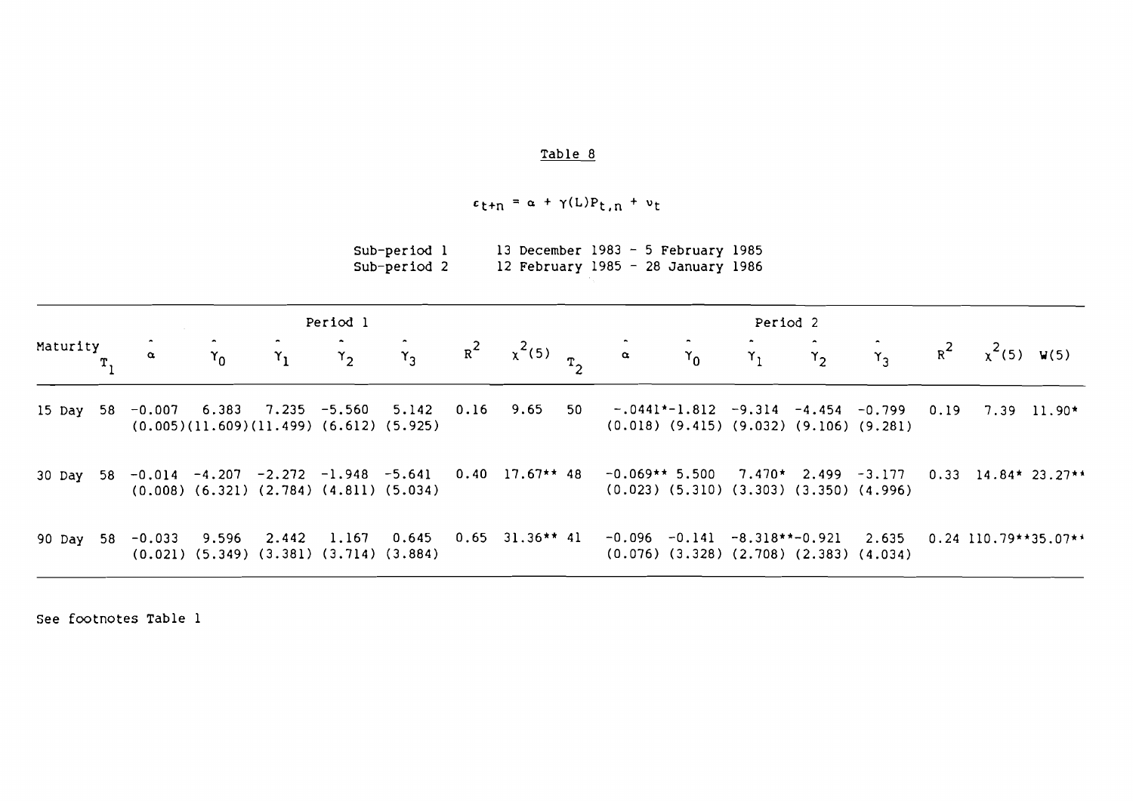# $c_{t+n} = \alpha + \gamma(L)P_{t,n} + v_t$

| Sub-period l |  | 13 December 1983 - 5 February 1985 |  |  |  |
|--------------|--|------------------------------------|--|--|--|
| Sub-period 2 |  | 12 February 1985 - 28 January 1986 |  |  |  |

|          |                |            |                                                                                         | Period 1       |                             |                         | Period <sub>2</sub> |                                                                                                                                  |                |       |       |                                                   |       |               |                        |
|----------|----------------|------------|-----------------------------------------------------------------------------------------|----------------|-----------------------------|-------------------------|---------------------|----------------------------------------------------------------------------------------------------------------------------------|----------------|-------|-------|---------------------------------------------------|-------|---------------|------------------------|
| Maturity | $\pmb{\alpha}$ | $\gamma_0$ | $\mathbf{r}_1$                                                                          | $\mathbf{r}_2$ | $\mathsf{r}_3$              | $R^2$ $\chi^2(5)$ $T_2$ |                     | $\pmb{\alpha}$                                                                                                                   | $\mathbf{Y}_0$ | $Y_1$ | $Y_2$ | $Y_{3}$                                           | $R^2$ |               | $x^2(5)$ W(5)          |
|          |                |            | 15 Day 58 -0.007 6.383 7.235 -5.560 5.142<br>$(0.005)(11.609)(11.499)$ $(6.612)(5.925)$ |                |                             |                         |                     | $0.16$ 9.65 50 -.0441*-1.812 -9.314 -4.454 -0.799 0.19                                                                           |                |       |       | $(0.018)$ $(9.415)$ $(9.032)$ $(9.106)$ $(9.281)$ |       | $7.39$ 11.90* |                        |
|          |                |            | $(0.008)$ $(6.321)$ $(2.784)$ $(4.811)$ $(5.034)$                                       |                |                             |                         |                     | 30 Day 58 -0.014 -4.207 -2.272 -1.948 -5.641 0.40 17.67** 48 -0.069** 5.500<br>$(0.023)$ $(5.310)$ $(3.303)$ $(3.350)$ $(4.996)$ |                |       |       | $7.470*$ 2.499 -3.177                             |       |               | $0.33$ 14.84* 23.27**  |
| 90 Dav   | 58 -0.033      | 9.596      | 2.442 1.167<br>$(0.021)$ $(5.349)$ $(3.381)$ $(3.714)$ $(3.884)$                        |                | $0.645$ $0.65$ $31.36**$ 41 |                         |                     | $-0.096$ $-0.141$ $-8.318**-0.921$ 2.635<br>$(0.076)$ $(3.328)$ $(2.708)$ $(2.383)$ $(4.034)$                                    |                |       |       |                                                   |       |               | $0.24$ 110.79**35.07** |

see footnotes Table 1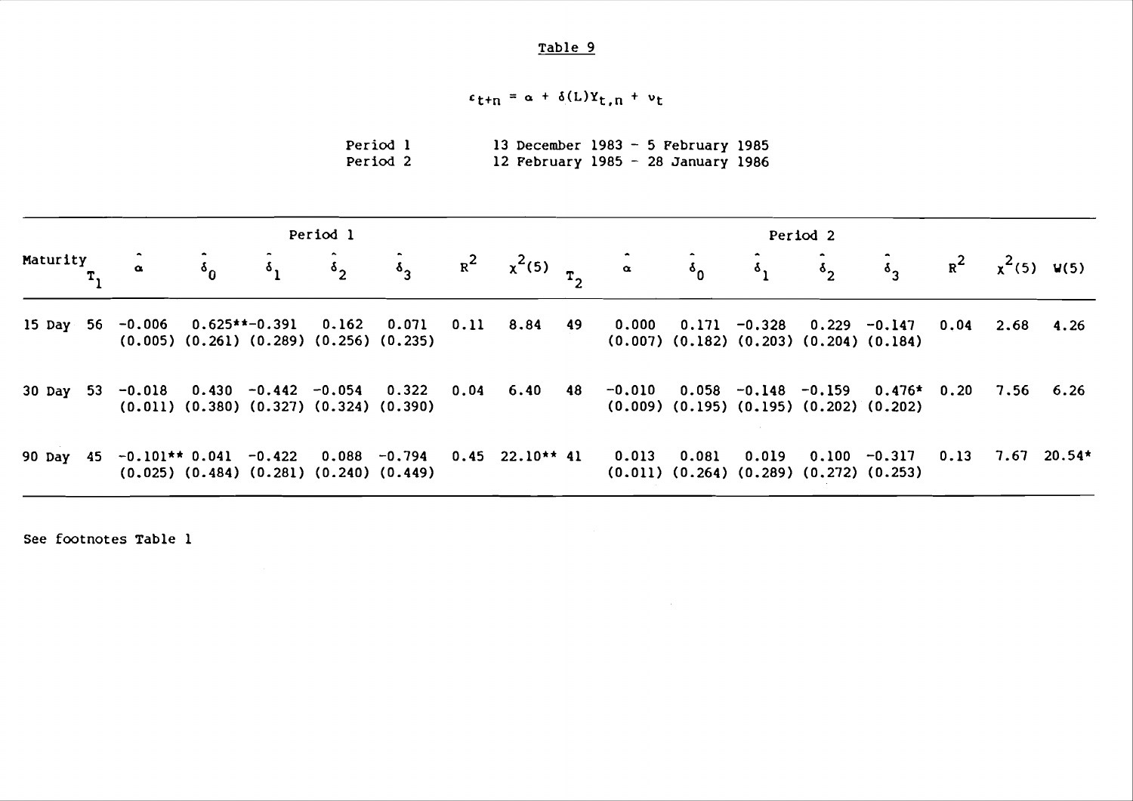$$
\epsilon_{t+n} = \alpha + \delta(L)Y_{t,n} + \nu_t
$$

| <b>Period 1</b> | 13 December 1983 - 5 February 1985 |  |  |
|-----------------|------------------------------------|--|--|
| Period 2        | 12 February 1985 - 28 January 1986 |  |  |

| Period 1 |  |          |            | Period <sub>2</sub> |            |                                                   |  |  |  |                                                                                                                                                               |                                                            |  |                          |  |                  |                                          |
|----------|--|----------|------------|---------------------|------------|---------------------------------------------------|--|--|--|---------------------------------------------------------------------------------------------------------------------------------------------------------------|------------------------------------------------------------|--|--------------------------|--|------------------|------------------------------------------|
| Maturity |  | $\alpha$ | $\delta_0$ | $\delta_1$          | $\delta_2$ |                                                   |  |  |  | $\hat{\delta}_3$ $R^2$ $\chi^2(5)$ $\hat{\alpha}$ $\hat{\delta}_0$ $\hat{\delta}_1$ $\hat{\delta}_2$                                                          |                                                            |  |                          |  |                  | $\bar{\zeta}_3$ $R^2$ $\chi^2(5)$ $V(5)$ |
|          |  |          |            |                     |            | $(0.005)$ $(0.261)$ $(0.289)$ $(0.256)$ $(0.235)$ |  |  |  | 15 Day 56 -0.006 0.625**-0.391 0.162 0.071 0.11 8.84 49 0.000 0.171 -0.328 0.229 -0.147<br>$(0.007)$ $(0.182)$ $(0.203)$ $(0.204)$ $(0.184)$                  |                                                            |  |                          |  | $0.04$ 2.68 4.26 |                                          |
|          |  |          |            |                     |            | $(0.011)$ $(0.380)$ $(0.327)$ $(0.324)$ $(0.390)$ |  |  |  | 30 Day 53 -0.018 0.430 -0.442 -0.054 0.322 0.04 6.40 48 -0.010 0.058 -0.148 -0.159 0.476* 0.20 7.56 6.26<br>$(0.009)$ $(0.195)$ $(0.195)$ $(0.202)$ $(0.202)$ |                                                            |  |                          |  |                  |                                          |
|          |  |          |            |                     |            | $(0.025)$ $(0.484)$ $(0.281)$ $(0.240)$ $(0.449)$ |  |  |  | 90 Day 45 -0.101** 0.041 -0.422 0.088 -0.794 0.45 22.10** 41 0.013                                                                                            | 0.081<br>$(0.011)$ $(0.264)$ $(0.289)$ $(0.272)$ $(0.253)$ |  | $0.019$ $0.100$ $-0.317$ |  |                  | $0.13$ 7.67 20.54*                       |

 $\sim$ 

See footnotes Table 1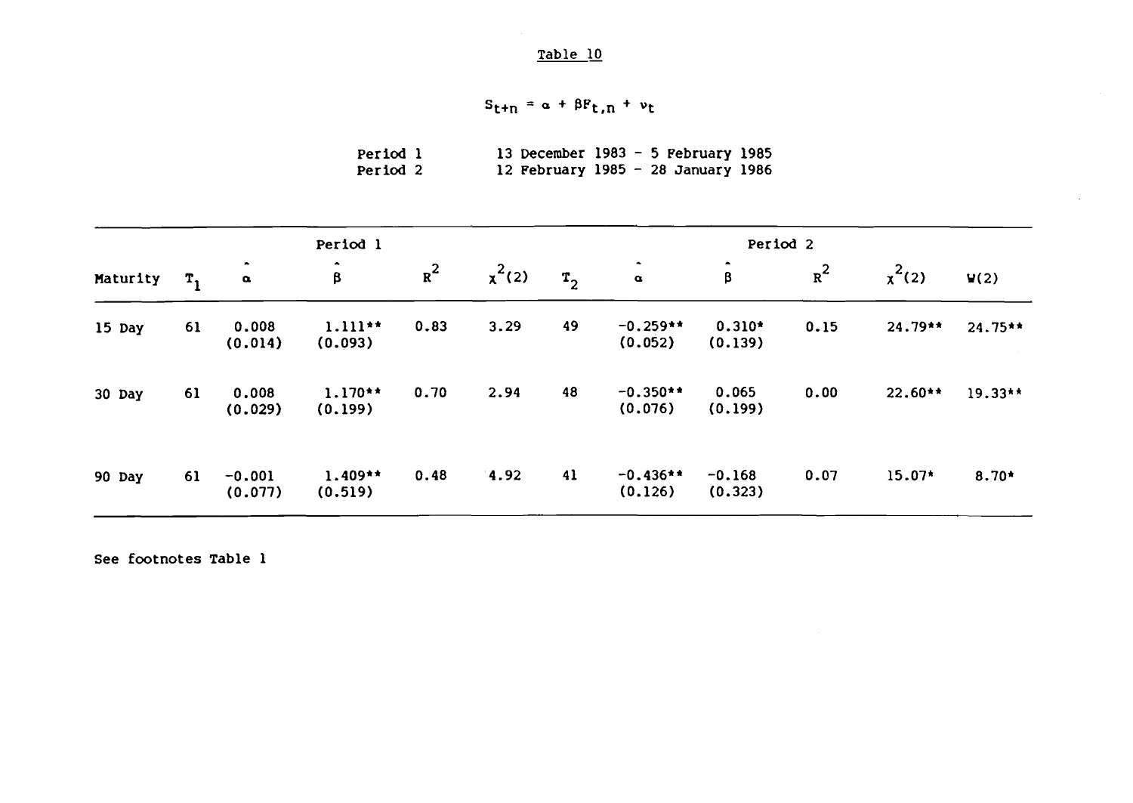$$
S_{t+n} = \alpha + \beta F_{t,n} + \nu_t
$$

| Period 1 |  |  | 13 December 1983 - 5 February 1985 |  |
|----------|--|--|------------------------------------|--|
| Period 2 |  |  | 12 February 1985 - 28 January 1986 |  |

|          |         |                             | Period 1             |       |          | Period 2       |                                       |                                      |       |           |           |  |  |
|----------|---------|-----------------------------|----------------------|-------|----------|----------------|---------------------------------------|--------------------------------------|-------|-----------|-----------|--|--|
| Maturity | $T_{1}$ | $\bullet$<br>$\pmb{\alpha}$ | $\bullet$<br>β       | $R^2$ | $x^2(2)$ | T <sub>2</sub> | $\hat{\phantom{a}}$<br>$\pmb{\alpha}$ | $\hat{\phantom{a}}$<br>$\pmb{\beta}$ | $R^2$ | $x^2(2)$  | V(2)      |  |  |
| 15 Day   | 61      | 0.008<br>(0.014)            | $1.111**$<br>(0.093) | 0.83  | 3.29     | 49             | $-0.259**$<br>(0.052)                 | $0.310*$<br>(0.139)                  | 0.15  | 24.79**   | $24.75**$ |  |  |
| 30 Day   | 61      | 0.008<br>(0.029)            | $1.170**$<br>(0.199) | 0.70  | 2.94     | 48             | $-0.350**$<br>(0.076)                 | 0.065<br>(0.199)                     | 0.00  | $22.60**$ | 19.33**   |  |  |
| 90 Day   | 61      | $-0.001$<br>(0.077)         | $1.409**$<br>(0.519) | 0.48  | 4.92     | 41             | $-0.436**$<br>(0.126)                 | $-0.168$<br>(0.323)                  | 0.07  | 15.07*    | $8.70*$   |  |  |

See footnotes Table 1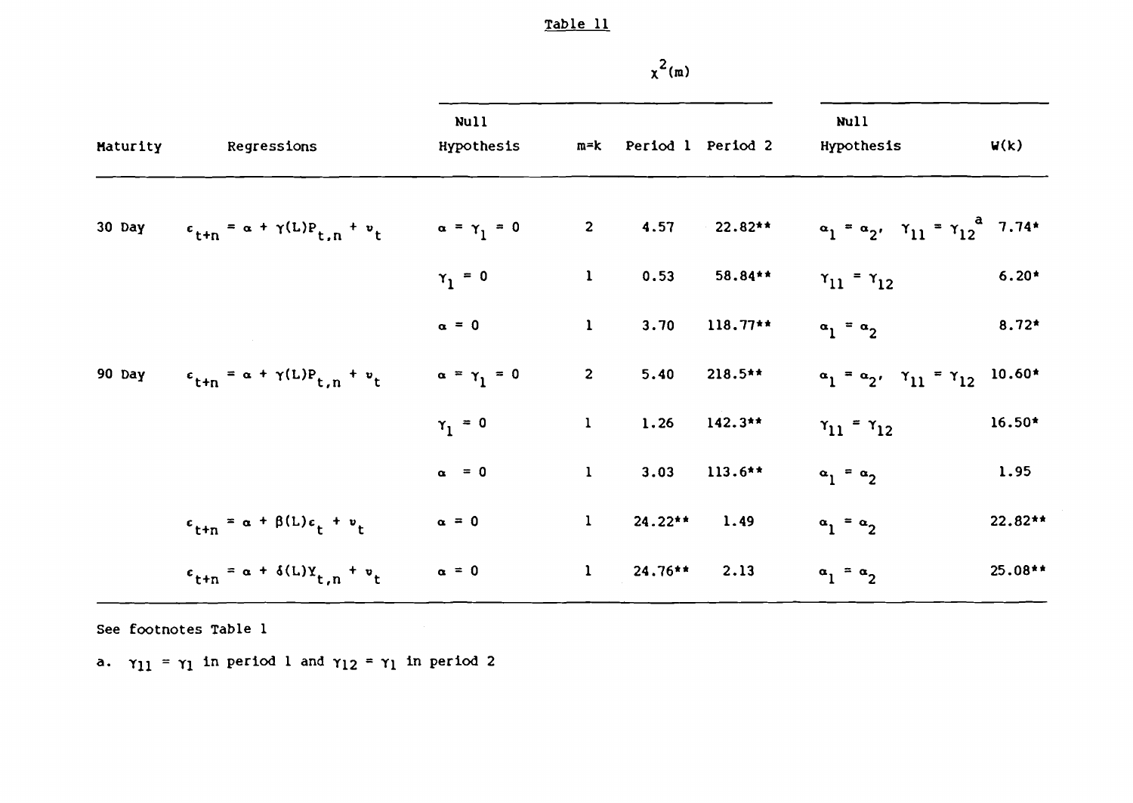| Maturity | Regressions                                                               | Null<br>Hypothesis      |                         | m=k Period 1 Period 2 |            | Null<br>Hypothesis                                                                | V(k)      |
|----------|---------------------------------------------------------------------------|-------------------------|-------------------------|-----------------------|------------|-----------------------------------------------------------------------------------|-----------|
| 30 Day   | $\epsilon_{\text{t+n}} = \alpha + \gamma(L)P_{\text{t,n}} + v_{\text{t}}$ | $\alpha = \gamma_1 = 0$ |                         |                       |            | 2 4.57 22.82** $\alpha_1 = \alpha_2$ , $\gamma_{11} = \gamma_{12}^{\alpha}$ 7.74* |           |
|          |                                                                           | $\gamma_1 = 0$          | $\mathbf{1}$            | 0.53                  | 58.84**    | $\gamma_{11} = \gamma_{12}$                                                       | $6.20*$   |
|          |                                                                           | $\alpha = 0$            | $\mathbf{1}$            | 3.70                  | $118.77**$ | $\alpha_1 = \alpha_2$                                                             | $8.72*$   |
| 90 Day   | $\epsilon_{t+n} = \alpha + \gamma(L)P_{t,n} + v_t$                        | $\alpha = \gamma_1 = 0$ | $\overline{\mathbf{2}}$ | 5.40                  | $218.5**$  | $\alpha_1 = \alpha_2$ , $\gamma_{11} = \gamma_{12}$ 10.60*                        |           |
|          |                                                                           | $\gamma_1 = 0$          | $\mathbf{1}$            | 1.26                  | $142.3**$  | $\gamma_{11} = \gamma_{12}$                                                       | 16.50*    |
|          |                                                                           | $\alpha = 0$            | $\mathbf{1}$            | 3.03                  | $113.6**$  | $a_1 = a_2$                                                                       | 1.95      |
|          | $\epsilon_{t+n} = \alpha + \beta(L)\epsilon_t + v_t$                      | $\alpha = 0$            | $\mathbf{1}$            | $24.22**$             | 1.49       | $a_1 = a_2$                                                                       | 22.82**   |
|          | $\epsilon_{t+n} = \alpha + \delta(L)Y_{t,n} + v_t$                        | $\alpha = 0$            |                         | $1 \t 24.76**$        | 2.13       | $a_1 = a_2$                                                                       | $25.08**$ |

See footnotes Table 1

a.  $\gamma_{11} = \gamma_1$  in period 1 and  $\gamma_{12} = \gamma_1$  in period 2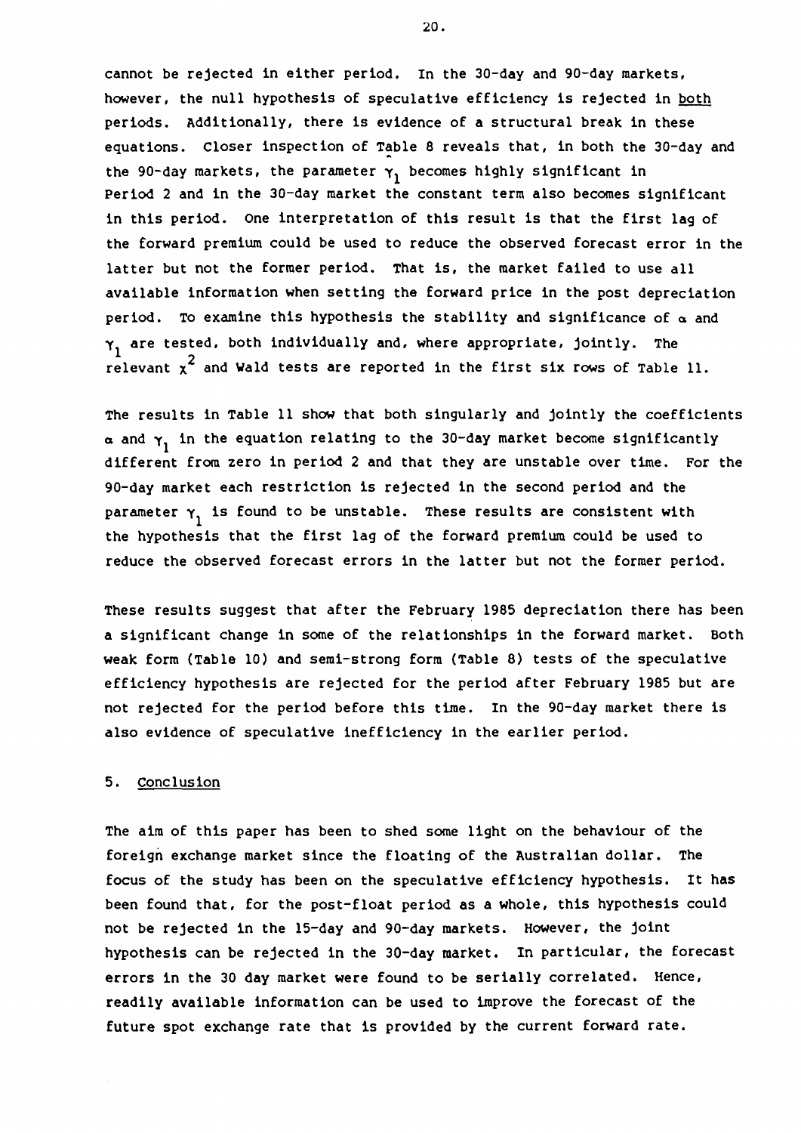cannot be rejected in either period. In the 30-day and 90-day markets, however, the null hypothesis of speculative efficiency is rejected in both periods. Additionally, there is evidence of a structural break in these equations. Closer inspection of Table 8 reveals that, in both the 30-day and the 90-day markets, the parameter  $\gamma_1$  becomes highly significant in Period 2 and in the 30-day market the constant term also becomes significant in this period. one interpretation of this result is that the first lag of the forward premium could be used to reduce the observed forecast error in the latter but not the former period. That is, the market failed to use all available information when setting the forward price in the post depreciation period. To examine this hypothesis the stability and significance of  $\alpha$  and  $\gamma_1$  are tested, both individually and, where appropriate, jointly. The relevant  $x^2$  and Wald tests are reported in the first six rows of Table 11.

The results in Table 11 show that both singularly and jointly the coefficients  $\alpha$  and  $\gamma_1$  in the equation relating to the 30-day market become significantly different from zero in period 2 and that they are unstable over time. For the 90-day market each restriction is rejected in the second period and the parameter  $\gamma_1$  is found to be unstable. These results are consistent with the hypothesis that the first lag of the forward premium could be used to reduce the observed forecast errors in the latter but not the former period.

These results suggest that after the February 1985 depreciation there has been a significant change in some of the relationships in the forward market. Both weak form (Table 10) and semi-strong form (Table 8) tests of the speculative efficiency hypothesis are rejected for the period after February 1985 but are not rejected for the period before this time. In the 90-day market there is also evidence of speculative inefficiency in the earlier period.

## 5. Conclusion

The aim of this paper has been to shed some light on the behaviour of the foreign exchange market since the floating of the Australian dollar. The focus of the study has been on the speculative efficiency hypothesis. It has been found that, for the post-float period as a whole, this hypothesis could not be rejected in the 15-day and 90-day markets. However, the joint hypothesis can be rejected in the 30-day market. In particular, the forecast errors in the 30 day market were found to be serially correlated. Hence, readily available information can be used to improve the forecast of the future spot exchange rate that is provided by the current forward rate.

20.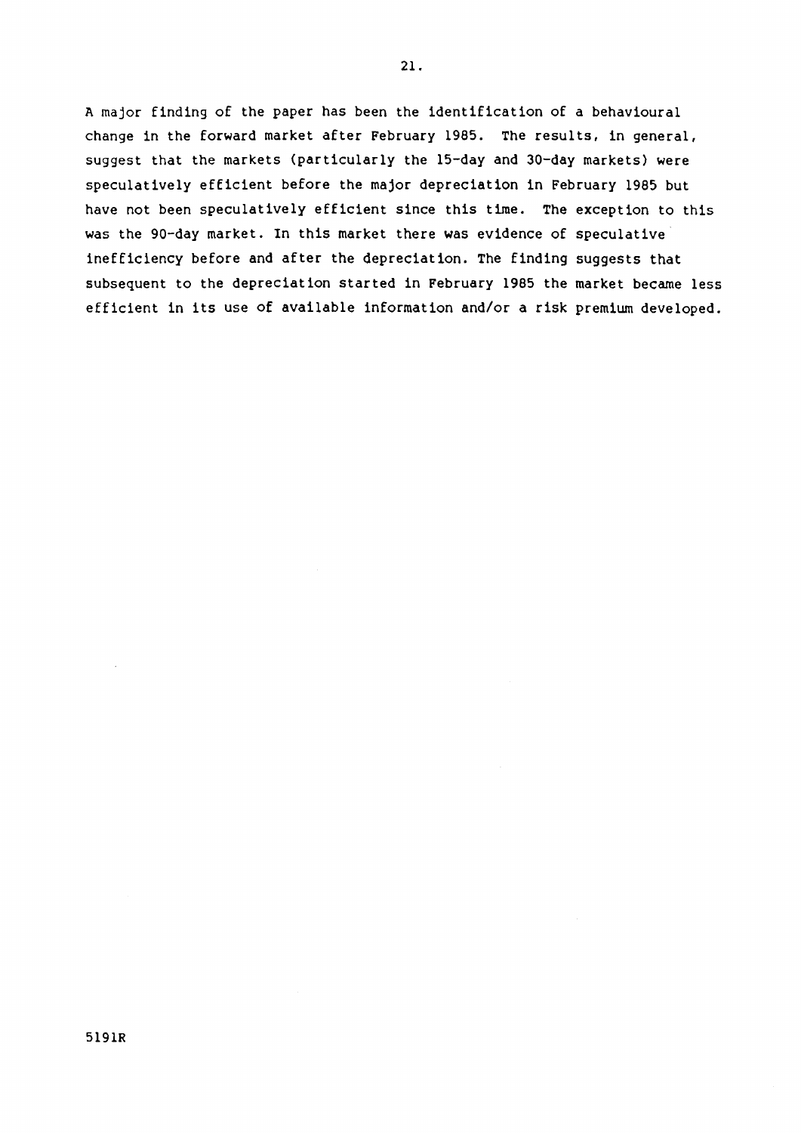A major finding of the paper has been the identification of a behavioural change in the forward market after February 1985. The results, in general, suggest that the markets (particularly the 15-day and 30-day markets) were speculatively efficient before the major depreciation in February 1985 but have not been speculatively efficient since this time. The exception to this was the 90-day market. In this market there was evidence of speculative inefficiency before and after the depreciation. The finding suggests that subsequent to the depreciation started in February 1985 the market became less efficient in its use of available information and/or a risk premium developed.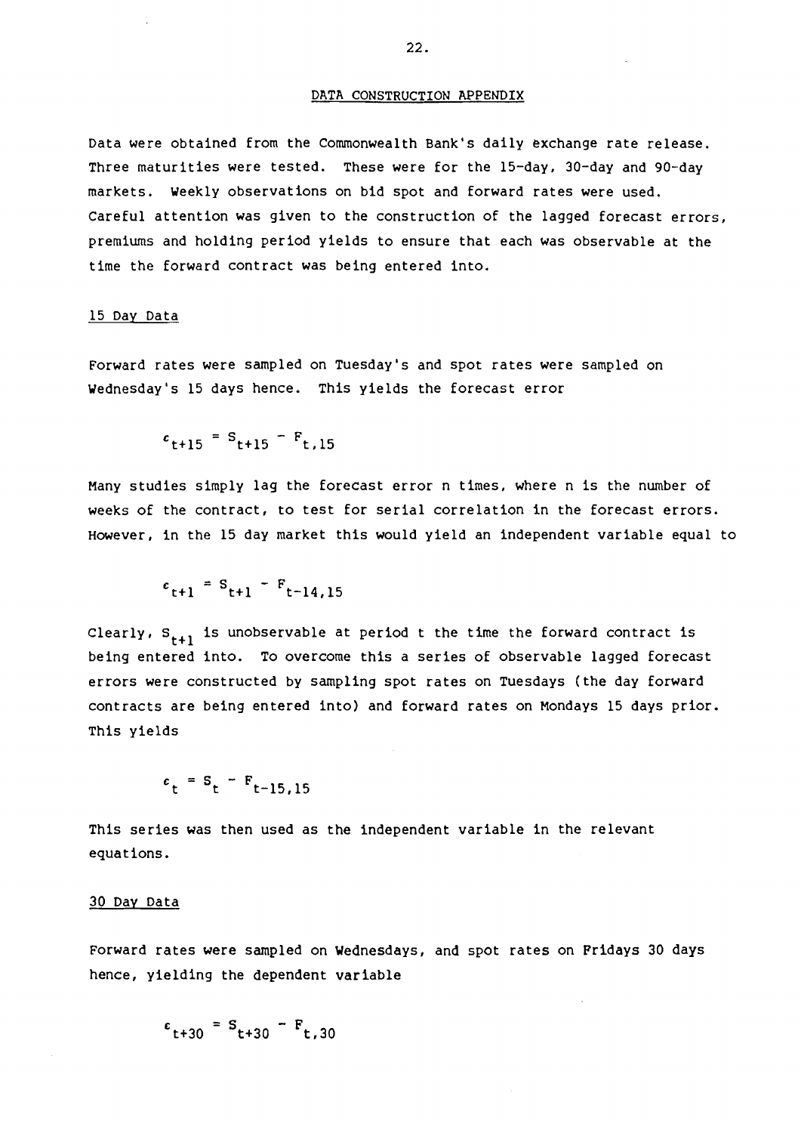### DATA CONSTRUCTION APPENDIX

Data were obtained from the Commonwealth Bank's daily exchange rate release. Three maturities were tested. These were for the 15-day, 30-day and 90-day markets. Weekly observations on bid spot and forward rates were used. careful attention was given to the construction of the lagged forecast errors, premiums and holding period yields to ensure that each was observable at the time the forward contract was being entered into.

## 15 Day Data

Forward rates were sampled on Tuesday's and spot rates were sampled on Wednesday's 15 days hence. This yields the forecast error

 $\epsilon_{t+15}$  = S<sub>t+15</sub> – F<sub>t,15</sub>

Many studies simply lag the forecast error n times, where n is the number of weeks of the contract, to test for serial correlation in the forecast errors. However, in the 15 day market this would yield an independent variable equal to

$$
e_{t+1} = S_{t+1} - F_{t-14,15}
$$

Clearly,  $S_{t+1}$  is unobservable at period t the time the forward contract is being entered into. To overcome this a series of observable lagged forecast errors were constructed by sampling spot rates on Tuesdays (the day forward contracts are being entered into) and forward rates on Mondays 15 days prior. This yields

$$
\epsilon_t = S_t - F_{t-15,15}
$$

This series was then used as the independent variable in the relevant equations.

#### 30 Day Data

Forward rates were sampled on Wednesdays, and spot rates on Fridays 30 days hence, yielding the dependent variable

 $t_{t+30} = S_{t+30} - F_{t,30}$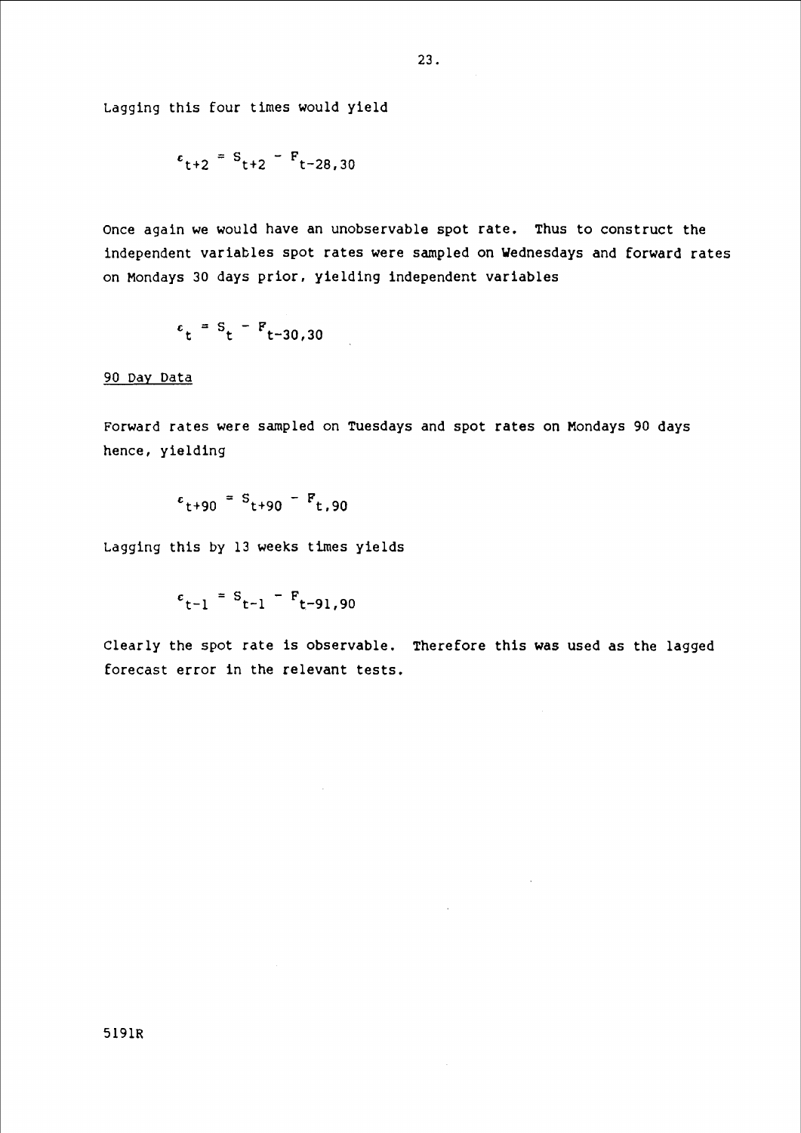Lagging this four times would yield

$$
\epsilon_{t+2} = S_{t+2} - F_{t-28,30}
$$

once again we would have an unobservable spot rate. Thus to construct the independent variables spot rates were sampled on Wednesdays and forward rates on Mondays 30 days prior, yielding independent variables

$$
\epsilon_t = S_t - F_{t-30,30}
$$

## 90 Day Data

Forward rates were sampled on Tuesdays and spot rates on Mondays 90 days hence, yielding

$$
c_{t+90} = S_{t+90} - F_{t,90}
$$

Lagging this by 13 weeks times yields

$$
c_{t-1} = S_{t-1} - F_{t-91,90}
$$

Clearly the spot rate is observable. Therefore this was used as the lagged forecast error in the relevant tests.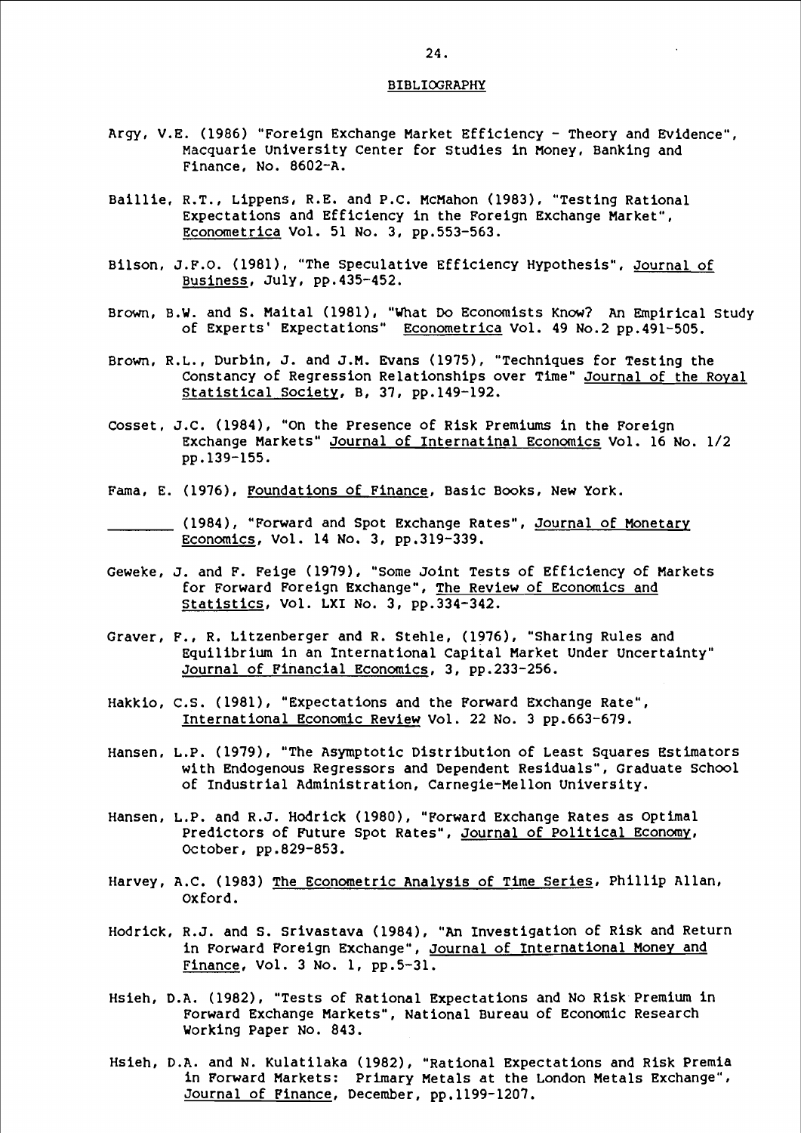#### BIBLIOORAPHY

- Argy, V.E. (1986) "Foreign Exchange Market Efficiency- Theory and Evidence", Macquarie University Center for studies in Money, Banking and Finance, No. 8602-A.
- Baillie, R.T., Lippens, R.E. and P.C. McMahon (1983), "Testing Rational Expectations and Efficiency in the Foreign Exchange Market", Econometrica Vol. 51 No. 3, pp.553-563.
- Bilson, J.F.O. (1981), "The Speculative Efficiency Hypothesis", Journal of Business, July, pp.435-452.
- Brown, B.W. and S. Maital (1981), "What Do Economists Know? An Empirical Study of Experts' Expectations" Econometrica Vol. 49 No.2 pp.491-505.
- Brown, R.L., Durbin, J. and J.M. Evans (1975), "Techniques for Testing the Constancy of Regression Relationships over Time" Journal of the Royal Statistical society, B, 37, pp.l49-192.
- cosset, J.C. (1984), "On the Presence of Risk Premiums in the Foreign Exchange Markets" Journal of Internatinal Economics Vol. 16 No. 1/2 pp.l39-155.
- Fama, E. (1976), Foundations of Finance, Basic Books, New York.
- (1984), "Forward and Spot Exchange Rates", Journal of Monetary Economics, Vol. 14 No. 3, pp.319-339.
- Geweke, J. and F. Feige (1979), "Some Joint Tests of Efficiency of Markets for Forward Foreign Exchange", The Review of Economics and Statistics, Vol. LXI No. 3, pp.334-342.
- Graver, F., R. Litzenberger and R. Stehle, (1976), "Sharing Rules and Equilibrium in an International Capital Market Under Uncertainty" Journal of Financial Economics, 3, pp.233-256.
- Hakkio, c.s. (1981), "Expectations and the Forward Exchange Rate", International Economic Review Vol. 22 No. 3 pp.663-679.
- Hansen, L.P. (1979), "The Asymptotic Distribution of Least Squares Estimators with Endogenous Regressors and Dependent Residuals", Graduate school of Industrial Administration, Carnegie-Mellon University.
- Hansen, L.P. and R.J. Hodrick (1980), "Forward Exchange Rates as Optimal Predictors of Future Spot Rates", Journal of Political Economy, October, pp.829-853.
- Harvey, A.C. (1983) The Econometric Analysis of Time Series, Phillip Allan, oxford.
- Hodrick, R.J. and s. Srivastava (1984), "An Investigation of Risk and Return in Forward Foreign Exchange", Journal of International Money and Finance, Vol. 3 No. 1, pp.S-31.
- Hsieh, D.A. (1982), "Tests of Rational Expectations and No Risk Premium in Forward Exchange Markets", National Bureau of Economic Research Working Paper No. 843.
- Hsieh, D.A. and N. Kulatilaka (1982), "Rational Expectations and Risk Premia in Forward Markets: Primary Metals at the London Metals Exchange", Journal of Finance, December, pp.ll99-1207.